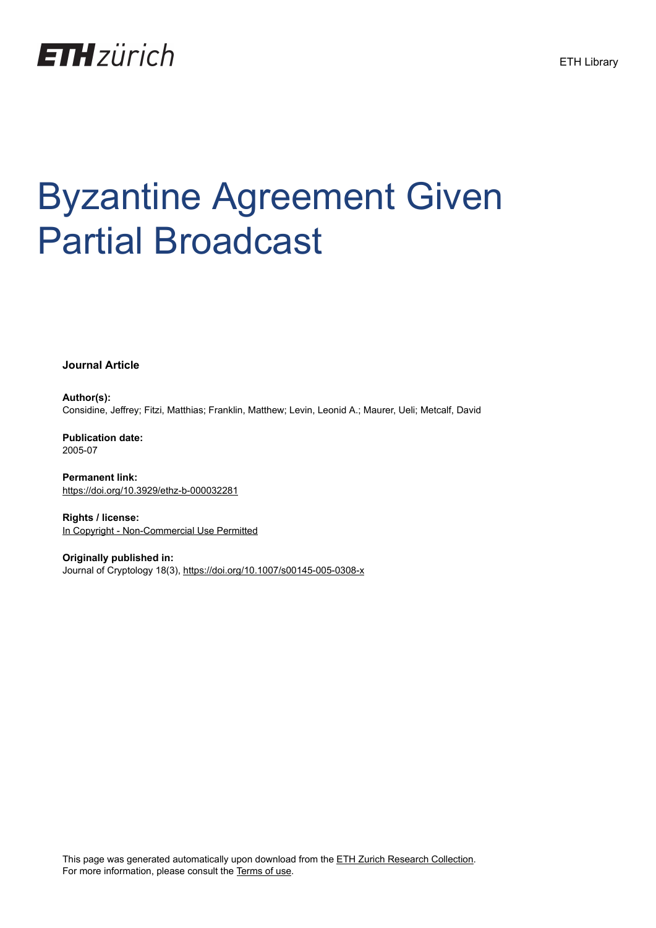

**Journal Article**

**Author(s):** Considine, Jeffrey; Fitzi, Matthias; Franklin, Matthew; Levin, Leonid A.; Maurer, Ueli; Metcalf, David

**Publication date:** 2005-07

**Permanent link:** <https://doi.org/10.3929/ethz-b-000032281>

**Rights / license:** [In Copyright - Non-Commercial Use Permitted](http://rightsstatements.org/page/InC-NC/1.0/)

**Originally published in:** Journal of Cryptology 18(3),<https://doi.org/10.1007/s00145-005-0308-x>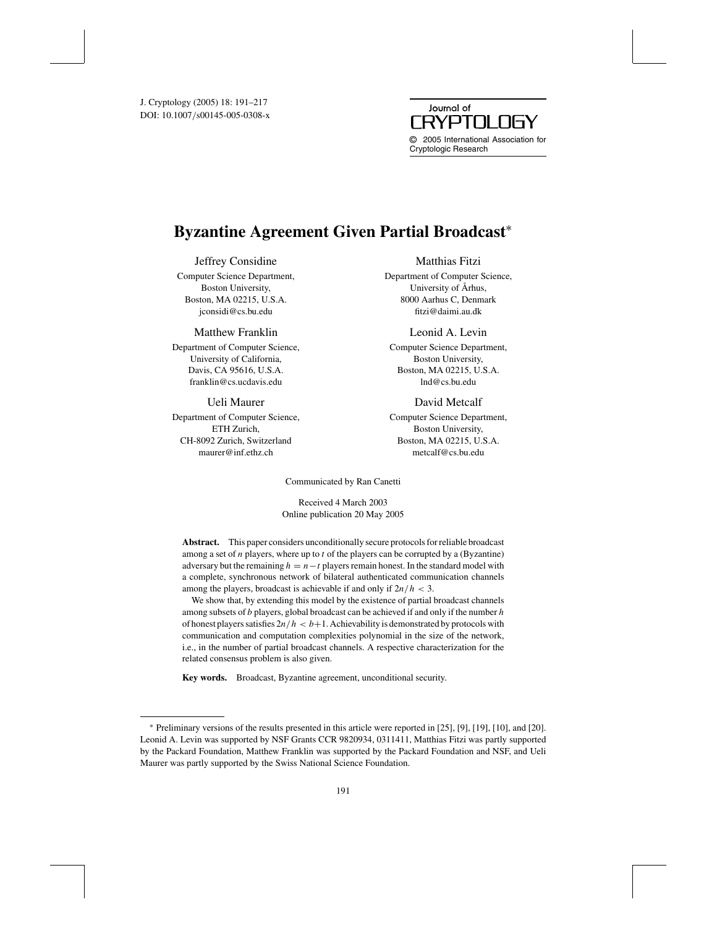DOI: 10.1007/s00145-005-0308-x J. Cryptology (2005) 18: 191–217

Journal of CRYPTOLOGY © 2005 International Association for Cryptologic Research

# **Byzantine Agreement Given Partial Broadcast**<sup>∗</sup>

#### Jeffrey Considine

Computer Science Department, Boston University, Boston, MA 02215, U.S.A. jconsidi@cs.bu.edu

#### Matthew Franklin

Department of Computer Science, University of California, Davis, CA 95616, U.S.A. franklin@cs.ucdavis.edu

Ueli Maurer

Department of Computer Science, ETH Zurich, CH-8092 Zurich, Switzerland maurer@inf.ethz.ch

Matthias Fitzi

Department of Computer Science, University of Århus, 8000 Aarhus C, Denmark fitzi@daimi.au.dk

Leonid A. Levin Computer Science Department, Boston University, Boston, MA 02215, U.S.A. lnd@cs.bu.edu

David Metcalf

Computer Science Department, Boston University, Boston, MA 02215, U.S.A. metcalf@cs.bu.edu

#### Communicated by Ran Canetti

Received 4 March 2003 Online publication 20 May 2005

**Abstract.** This paper considers unconditionally secure protocols for reliable broadcast among a set of *n* players, where up to *t* of the players can be corrupted by a (Byzantine) adversary but the remaining  $h = n - t$  players remain honest. In the standard model with a complete, synchronous network of bilateral authenticated communication channels among the players, broadcast is achievable if and only if 2*n*/*h* < 3.

We show that, by extending this model by the existence of partial broadcast channels among subsets of *b* players, global broadcast can be achieved if and only if the number *h* of honest players satisfies  $2n/h < b+1$ . Achievability is demonstrated by protocols with communication and computation complexities polynomial in the size of the network, i.e., in the number of partial broadcast channels. A respective characterization for the related consensus problem is also given.

**Key words.** Broadcast, Byzantine agreement, unconditional security.

<sup>∗</sup> Preliminary versions of the results presented in this article were reported in [25], [9], [19], [10], and [20]. Leonid A. Levin was supported by NSF Grants CCR 9820934, 0311411, Matthias Fitzi was partly supported by the Packard Foundation, Matthew Franklin was supported by the Packard Foundation and NSF, and Ueli Maurer was partly supported by the Swiss National Science Foundation.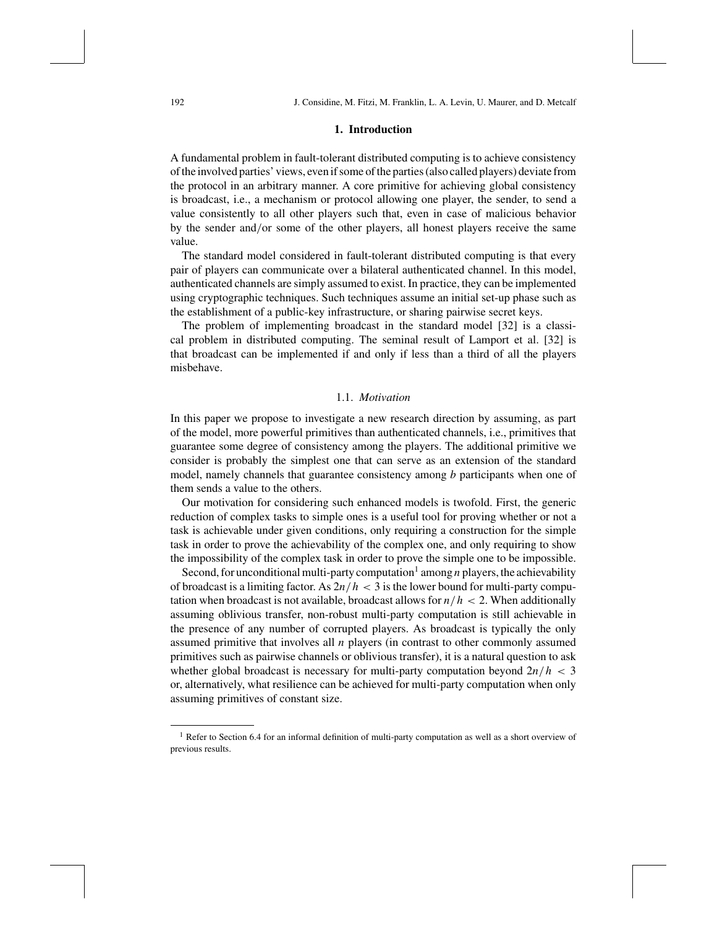#### **1. Introduction**

A fundamental problem in fault-tolerant distributed computing is to achieve consistency of the involved parties' views, even if some of the parties (also called players) deviate from the protocol in an arbitrary manner. A core primitive for achieving global consistency is broadcast, i.e., a mechanism or protocol allowing one player, the sender, to send a value consistently to all other players such that, even in case of malicious behavior by the sender and/or some of the other players, all honest players receive the same value.

The standard model considered in fault-tolerant distributed computing is that every pair of players can communicate over a bilateral authenticated channel. In this model, authenticated channels are simply assumed to exist. In practice, they can be implemented using cryptographic techniques. Such techniques assume an initial set-up phase such as the establishment of a public-key infrastructure, or sharing pairwise secret keys.

The problem of implementing broadcast in the standard model [32] is a classical problem in distributed computing. The seminal result of Lamport et al. [32] is that broadcast can be implemented if and only if less than a third of all the players misbehave.

#### 1.1. *Motivation*

In this paper we propose to investigate a new research direction by assuming, as part of the model, more powerful primitives than authenticated channels, i.e., primitives that guarantee some degree of consistency among the players. The additional primitive we consider is probably the simplest one that can serve as an extension of the standard model, namely channels that guarantee consistency among *b* participants when one of them sends a value to the others.

Our motivation for considering such enhanced models is twofold. First, the generic reduction of complex tasks to simple ones is a useful tool for proving whether or not a task is achievable under given conditions, only requiring a construction for the simple task in order to prove the achievability of the complex one, and only requiring to show the impossibility of the complex task in order to prove the simple one to be impossible.

Second, for unconditional multi-party computation<sup>1</sup> among *n* players, the achievability of broadcast is a limiting factor. As  $2n/h < 3$  is the lower bound for multi-party computation when broadcast is not available, broadcast allows for  $n/h < 2$ . When additionally assuming oblivious transfer, non-robust multi-party computation is still achievable in the presence of any number of corrupted players. As broadcast is typically the only assumed primitive that involves all *n* players (in contrast to other commonly assumed primitives such as pairwise channels or oblivious transfer), it is a natural question to ask whether global broadcast is necessary for multi-party computation beyond  $2n/h < 3$ or, alternatively, what resilience can be achieved for multi-party computation when only assuming primitives of constant size.

<sup>&</sup>lt;sup>1</sup> Refer to Section 6.4 for an informal definition of multi-party computation as well as a short overview of previous results.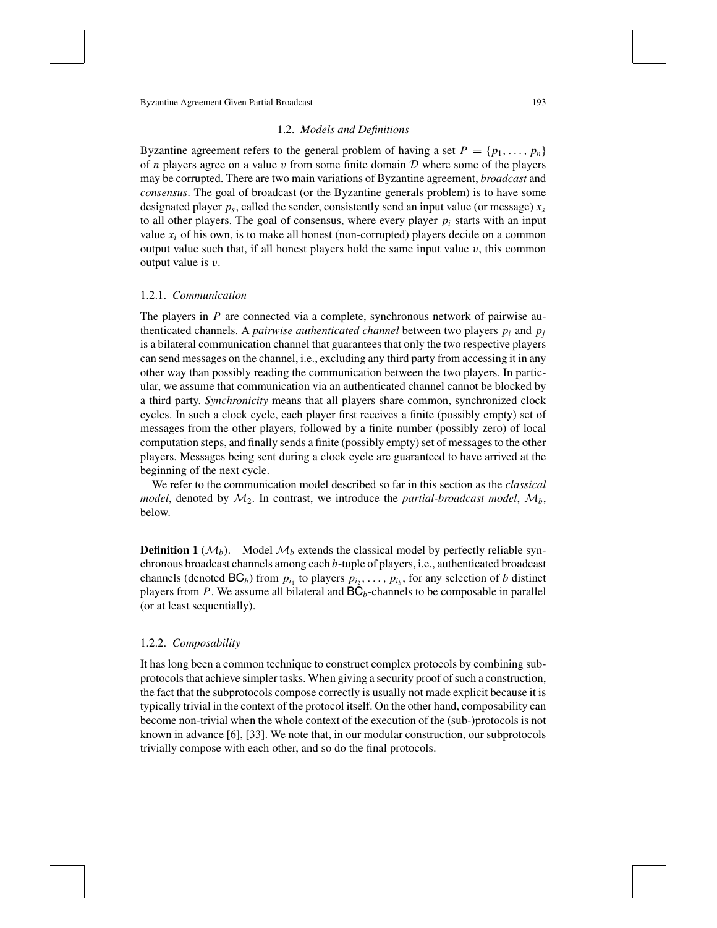#### 1.2. *Models and Definitions*

Byzantine agreement refers to the general problem of having a set  $P = \{p_1, \ldots, p_n\}$ of  $n$  players agree on a value  $v$  from some finite domain  $D$  where some of the players may be corrupted. There are two main variations of Byzantine agreement, *broadcast* and *consensus*. The goal of broadcast (or the Byzantine generals problem) is to have some designated player *ps*, called the sender, consistently send an input value (or message) *xs* to all other players. The goal of consensus, where every player  $p_i$  starts with an input value  $x_i$  of his own, is to make all honest (non-corrupted) players decide on a common output value such that, if all honest players hold the same input value  $v$ , this common output value is  $v$ .

#### 1.2.1. *Communication*

The players in *P* are connected via a complete, synchronous network of pairwise authenticated channels. A *pairwise authenticated channel* between two players  $p_i$  and  $p_j$ is a bilateral communication channel that guarantees that only the two respective players can send messages on the channel, i.e., excluding any third party from accessing it in any other way than possibly reading the communication between the two players. In particular, we assume that communication via an authenticated channel cannot be blocked by a third party. *Synchronicity* means that all players share common, synchronized clock cycles. In such a clock cycle, each player first receives a finite (possibly empty) set of messages from the other players, followed by a finite number (possibly zero) of local computation steps, and finally sends a finite (possibly empty) set of messages to the other players. Messages being sent during a clock cycle are guaranteed to have arrived at the beginning of the next cycle.

We refer to the communication model described so far in this section as the *classical model*, denoted by  $M_2$ . In contrast, we introduce the *partial-broadcast model*,  $M_b$ , below.

**Definition 1** ( $\mathcal{M}_b$ ). Model  $\mathcal{M}_b$  extends the classical model by perfectly reliable synchronous broadcast channels among each *b*-tuple of players, i.e., authenticated broadcast channels (denoted  $BC_b$ ) from  $p_{i_1}$  to players  $p_{i_2}, \ldots, p_{i_b}$ , for any selection of *b* distinct players from  $P$ . We assume all bilateral and  $BC_b$ -channels to be composable in parallel (or at least sequentially).

#### 1.2.2. *Composability*

It has long been a common technique to construct complex protocols by combining subprotocols that achieve simpler tasks. When giving a security proof of such a construction, the fact that the subprotocols compose correctly is usually not made explicit because it is typically trivial in the context of the protocol itself. On the other hand, composability can become non-trivial when the whole context of the execution of the (sub-)protocols is not known in advance [6], [33]. We note that, in our modular construction, our subprotocols trivially compose with each other, and so do the final protocols.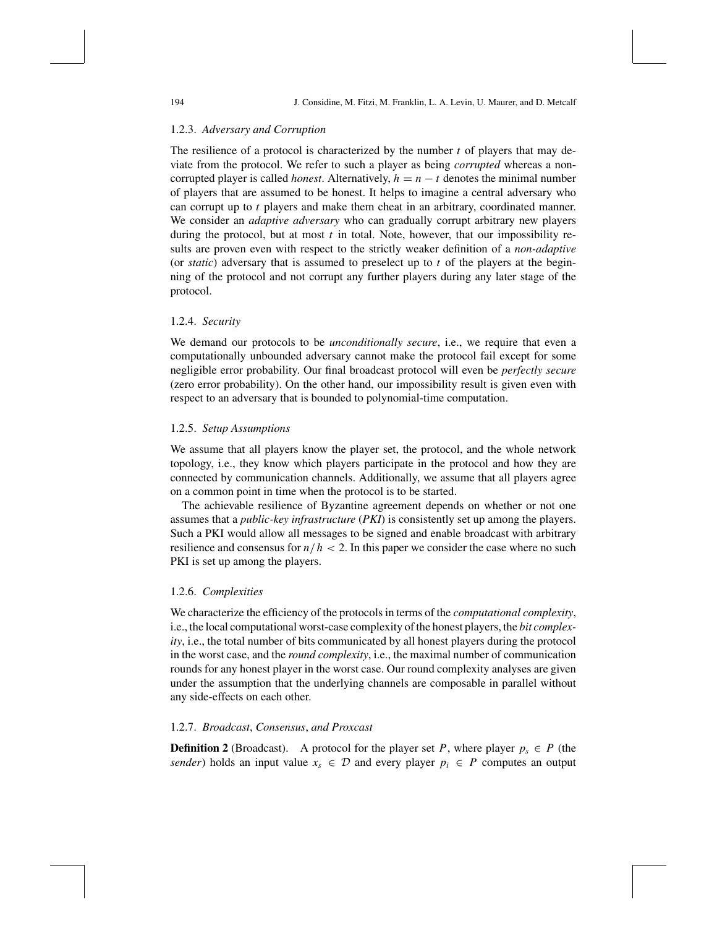#### 1.2.3. *Adversary and Corruption*

The resilience of a protocol is characterized by the number *t* of players that may deviate from the protocol. We refer to such a player as being *corrupted* whereas a noncorrupted player is called *honest*. Alternatively,  $h = n - t$  denotes the minimal number of players that are assumed to be honest. It helps to imagine a central adversary who can corrupt up to *t* players and make them cheat in an arbitrary, coordinated manner. We consider an *adaptive adversary* who can gradually corrupt arbitrary new players during the protocol, but at most *t* in total. Note, however, that our impossibility results are proven even with respect to the strictly weaker definition of a *non-adaptive* (or *static*) adversary that is assumed to preselect up to *t* of the players at the beginning of the protocol and not corrupt any further players during any later stage of the protocol.

#### 1.2.4. *Security*

We demand our protocols to be *unconditionally secure*, i.e., we require that even a computationally unbounded adversary cannot make the protocol fail except for some negligible error probability. Our final broadcast protocol will even be *perfectly secure* (zero error probability). On the other hand, our impossibility result is given even with respect to an adversary that is bounded to polynomial-time computation.

#### 1.2.5. *Setup Assumptions*

We assume that all players know the player set, the protocol, and the whole network topology, i.e., they know which players participate in the protocol and how they are connected by communication channels. Additionally, we assume that all players agree on a common point in time when the protocol is to be started.

The achievable resilience of Byzantine agreement depends on whether or not one assumes that a *public-key infrastructure* (*PKI*) is consistently set up among the players. Such a PKI would allow all messages to be signed and enable broadcast with arbitrary resilience and consensus for  $n/h < 2$ . In this paper we consider the case where no such PKI is set up among the players.

#### 1.2.6. *Complexities*

We characterize the efficiency of the protocols in terms of the *computational complexity*, i.e., the local computational worst-case complexity of the honest players, the *bit complexity*, i.e., the total number of bits communicated by all honest players during the protocol in the worst case, and the *round complexity*, i.e., the maximal number of communication rounds for any honest player in the worst case. Our round complexity analyses are given under the assumption that the underlying channels are composable in parallel without any side-effects on each other.

#### 1.2.7. *Broadcast*, *Consensus*, *and Proxcast*

**Definition 2** (Broadcast). A protocol for the player set *P*, where player  $p_s \in P$  (the *sender*) holds an input value  $x_s \in \mathcal{D}$  and every player  $p_i \in P$  computes an output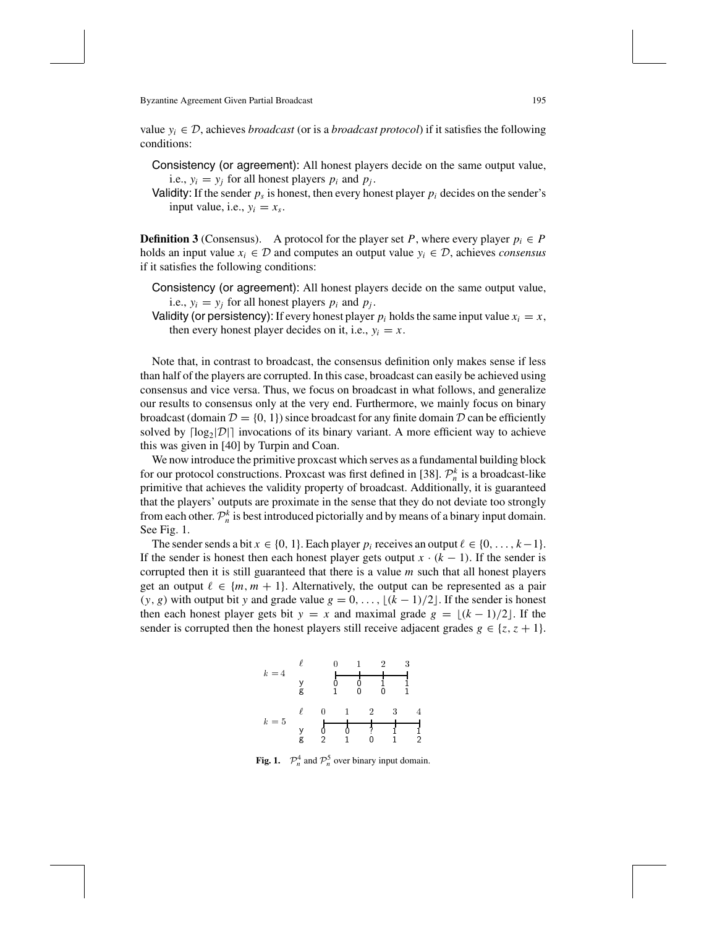value  $y_i \in \mathcal{D}$ , achieves *broadcast* (or is a *broadcast protocol*) if it satisfies the following conditions:

- Consistency (or agreement): All honest players decide on the same output value, i.e.,  $y_i = y_j$  for all honest players  $p_i$  and  $p_j$ .
- Validity: If the sender  $p_s$  is honest, then every honest player  $p_i$  decides on the sender's input value, i.e.,  $y_i = x_s$ .

**Definition 3** (Consensus). A protocol for the player set *P*, where every player  $p_i \in P$ holds an input value  $x_i \in \mathcal{D}$  and computes an output value  $y_i \in \mathcal{D}$ , achieves *consensus* if it satisfies the following conditions:

- Consistency (or agreement): All honest players decide on the same output value, i.e.,  $y_i = y_j$  for all honest players  $p_i$  and  $p_j$ .
- Validity (or persistency): If every honest player  $p_i$  holds the same input value  $x_i = x$ , then every honest player decides on it, i.e.,  $y_i = x$ .

Note that, in contrast to broadcast, the consensus definition only makes sense if less than half of the players are corrupted. In this case, broadcast can easily be achieved using consensus and vice versa. Thus, we focus on broadcast in what follows, and generalize our results to consensus only at the very end. Furthermore, we mainly focus on binary broadcast (domain  $\mathcal{D} = \{0, 1\}$ ) since broadcast for any finite domain  $\mathcal{D}$  can be efficiently solved by  $\lceil log_2 |D| \rceil$  invocations of its binary variant. A more efficient way to achieve this was given in [40] by Turpin and Coan.

We now introduce the primitive proxcast which serves as a fundamental building block for our protocol constructions. Proxcast was first defined in [38].  $\mathcal{P}_n^k$  is a broadcast-like primitive that achieves the validity property of broadcast. Additionally, it is guaranteed that the players' outputs are proximate in the sense that they do not deviate too strongly from each other.  $\mathcal{P}_n^k$  is best introduced pictorially and by means of a binary input domain. See Fig. 1.

The sender sends a bit  $x \in \{0, 1\}$ . Each player  $p_i$  receives an output  $\ell \in \{0, \ldots, k-1\}$ . If the sender is honest then each honest player gets output  $x \cdot (k-1)$ . If the sender is corrupted then it is still guaranteed that there is a value *m* such that all honest players get an output  $\ell \in \{m, m + 1\}$ . Alternatively, the output can be represented as a pair  $(y, g)$  with output bit *y* and grade value  $g = 0, \ldots, \lfloor (k-1)/2 \rfloor$ . If the sender is honest then each honest player gets bit *y* = *x* and maximal grade  $g = \lfloor (k-1)/2 \rfloor$ . If the sender is corrupted then the honest players still receive adjacent grades  $g \in \{z, z + 1\}$ .



**Fig. 1.**  $\mathcal{P}_n^4$  and  $\mathcal{P}_n^5$  over binary input domain.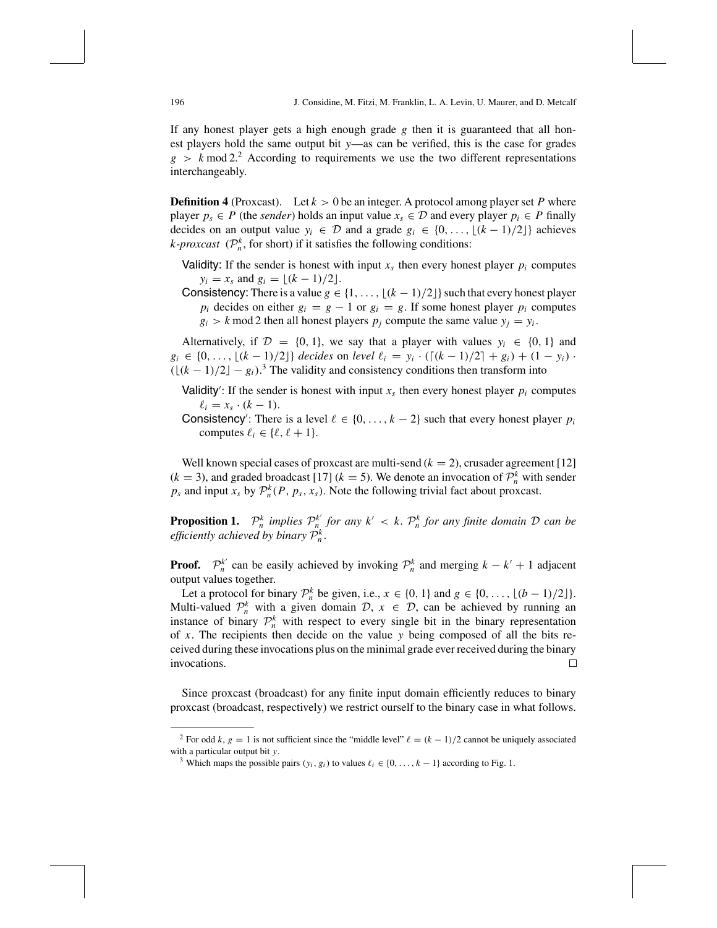If any honest player gets a high enough grade *g* then it is guaranteed that all honest players hold the same output bit *y*—as can be verified, this is the case for grades  $g > k \mod 2$ <sup>2</sup>. According to requirements we use the two different representations interchangeably.

**Definition 4** (Proxcast). Let  $k > 0$  be an integer. A protocol among player set P where player  $p_s \in P$  (the *sender*) holds an input value  $x_s \in D$  and every player  $p_i \in P$  finally decides on an output value  $y_i$  ∈  $D$  and a grade  $g_i$  ∈  $\{0, \ldots, \lfloor (k-1)/2 \rfloor\}$  achieves *k*-proxcast ( $\mathcal{P}_n^k$ , for short) if it satisfies the following conditions:

- Validity: If the sender is honest with input  $x<sub>s</sub>$  then every honest player  $p<sub>i</sub>$  computes  $y_i = x_s$  and  $g_i = \lfloor (k-1)/2 \rfloor$ .
- Consistency: There is a value  $g \in \{1, \ldots, \lfloor (k-1)/2 \rfloor\}$  such that every honest player *p<sub>i</sub>* decides on either  $g_i = g - 1$  or  $g_i = g$ . If some honest player  $p_i$  computes  $g_i > k \mod 2$  then all honest players  $p_i$  compute the same value  $y_i = y_i$ .

Alternatively, if  $\mathcal{D} = \{0, 1\}$ , we say that a player with values  $y_i \in \{0, 1\}$  and *g<sub>i</sub>* ∈ {0,...,  $\lfloor (k-1)/2 \rfloor$ } *decides* on *level*  $\ell_i = y_i \cdot (\lceil (k-1)/2 \rceil + g_i) + (1 - y_i) \cdot$  $(\lfloor (k-1)/2 \rfloor - g_i)^3$ .<sup>3</sup> The validity and consistency conditions then transform into

- Validity': If the sender is honest with input  $x_s$  then every honest player  $p_i$  computes  $\ell_i = x_s \cdot (k-1)$ .
- Consistency': There is a level  $\ell \in \{0, ..., k-2\}$  such that every honest player  $p_i$ computes  $\ell_i \in \{\ell, \ell + 1\}.$

Well known special cases of proxcast are multi-send  $(k = 2)$ , crusader agreement [12]  $(k = 3)$ , and graded broadcast [17]  $(k = 5)$ . We denote an invocation of  $\mathcal{P}_n^k$  with sender  $p_s$  and input  $x_s$  by  $\mathcal{P}_n^k(P, p_s, x_s)$ . Note the following trivial fact about proxcast.

**Proposition 1.**  $\mathcal{P}_n^k$  *implies*  $\mathcal{P}_n^k$  *for any k'* < *k*.  $\mathcal{P}_n^k$  *for any finite domain* D *can be efficiently achieved by binary*  $\mathcal{P}_n^k$ .

**Proof.**  $\mathcal{P}_n^k$  can be easily achieved by invoking  $\mathcal{P}_n^k$  and merging  $k - k' + 1$  adjacent output values together.

Let a protocol for binary  $\mathcal{P}_n^k$  be given, i.e.,  $x \in \{0, 1\}$  and  $g \in \{0, \ldots, \lfloor (b-1)/2 \rfloor\}.$ Multi-valued  $P_n^k$  with a given domain  $D, x \in D$ , can be achieved by running an instance of binary  $P_h^k$  with respect to every single bit in the binary representation of *x*. The recipients then decide on the value *y* being composed of all the bits received during these invocations plus on the minimal grade ever received during the binary invocations.  $\Box$ 

Since proxcast (broadcast) for any finite input domain efficiently reduces to binary proxcast (broadcast, respectively) we restrict ourself to the binary case in what follows.

<sup>&</sup>lt;sup>2</sup> For odd *k*,  $g = 1$  is not sufficient since the "middle level"  $\ell = (k - 1)/2$  cannot be uniquely associated with a particular output bit *y*.

<sup>&</sup>lt;sup>3</sup> Which maps the possible pairs  $(y_i, g_i)$  to values  $\ell_i \in \{0, \ldots, k-1\}$  according to Fig. 1.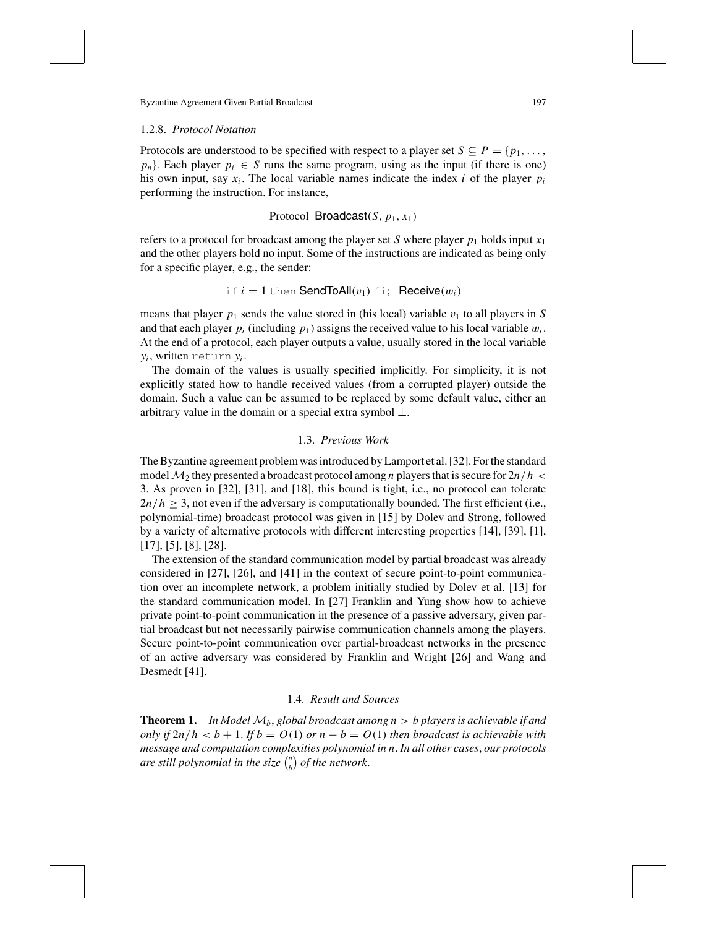#### 1.2.8. *Protocol Notation*

Protocols are understood to be specified with respect to a player set  $S \subseteq P = \{p_1, \ldots, p_n\}$  $p_n$ . Each player  $p_i \in S$  runs the same program, using as the input (if there is one) his own input, say  $x_i$ . The local variable names indicate the index *i* of the player  $p_i$ performing the instruction. For instance,

#### Protocol Broadcast( $S$ ,  $p_1$ ,  $x_1$ )

refers to a protocol for broadcast among the player set *S* where player  $p_1$  holds input  $x_1$ and the other players hold no input. Some of the instructions are indicated as being only for a specific player, e.g., the sender:

if 
$$
i = 1
$$
 then **SendToAll** $(v_1)$  fi; **Receive** $(w_i)$ 

means that player  $p_1$  sends the value stored in (his local) variable  $v_1$  to all players in *S* and that each player  $p_i$  (including  $p_1$ ) assigns the received value to his local variable  $w_i$ . At the end of a protocol, each player outputs a value, usually stored in the local variable *yi* , written return *yi* .

The domain of the values is usually specified implicitly. For simplicity, it is not explicitly stated how to handle received values (from a corrupted player) outside the domain. Such a value can be assumed to be replaced by some default value, either an arbitrary value in the domain or a special extra symbol  $\perp$ .

#### 1.3. *Previous Work*

The Byzantine agreement problem was introduced by Lamport et al. [32]. For the standard model  $\mathcal{M}_2$  they presented a broadcast protocol among *n* players that is secure for  $2n/h <$ 3. As proven in [32], [31], and [18], this bound is tight, i.e., no protocol can tolerate  $2n/h \geq 3$ , not even if the adversary is computationally bounded. The first efficient (i.e., polynomial-time) broadcast protocol was given in [15] by Dolev and Strong, followed by a variety of alternative protocols with different interesting properties [14], [39], [1], [17], [5], [8], [28].

The extension of the standard communication model by partial broadcast was already considered in [27], [26], and [41] in the context of secure point-to-point communication over an incomplete network, a problem initially studied by Dolev et al. [13] for the standard communication model. In [27] Franklin and Yung show how to achieve private point-to-point communication in the presence of a passive adversary, given partial broadcast but not necessarily pairwise communication channels among the players. Secure point-to-point communication over partial-broadcast networks in the presence of an active adversary was considered by Franklin and Wright [26] and Wang and Desmedt [41].

#### 1.4. *Result and Sources*

**Theorem 1.** *In Model*  $M_b$ *, global broadcast among n > b players is achievable if and only if*  $2n/h < b + 1$ . *If*  $b = O(1)$  *or*  $n - b = O(1)$  *then broadcast is achievable with message and computation complexities polynomial in n*. *In all other cases*, *our protocols are still polynomial in the size*  $\binom{n}{b}$  *of the network.*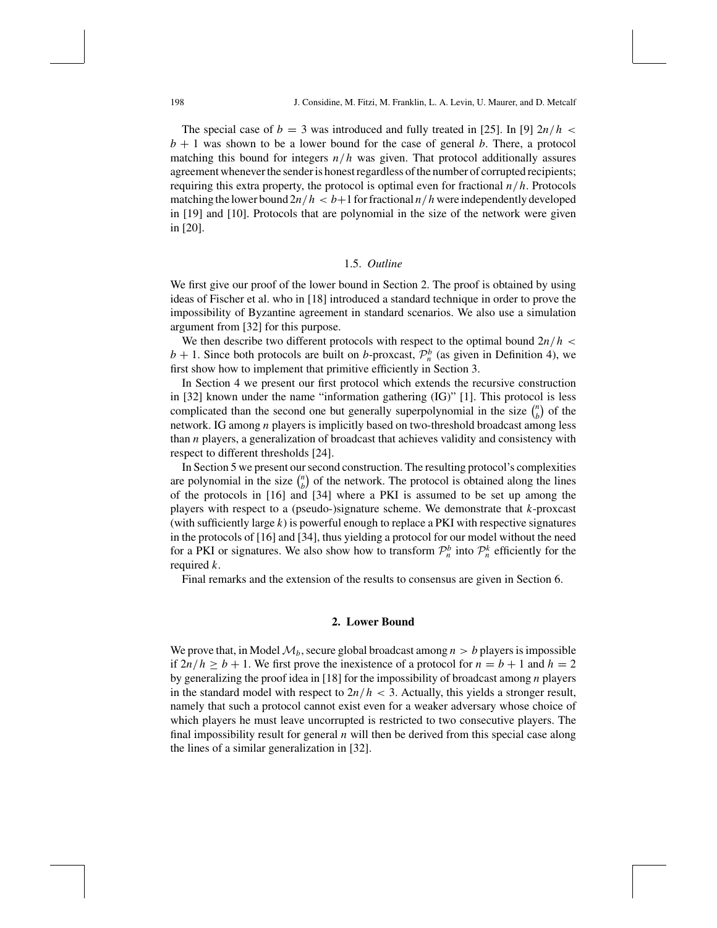The special case of  $b = 3$  was introduced and fully treated in [25]. In [9]  $2n/h <$  $b + 1$  was shown to be a lower bound for the case of general *b*. There, a protocol matching this bound for integers  $n/h$  was given. That protocol additionally assures agreement whenever the sender is honest regardless of the number of corrupted recipients; requiring this extra property, the protocol is optimal even for fractional *n*/*h*. Protocols matching the lower bound  $2n/h < b+1$  for fractional  $n/h$  were independently developed in [19] and [10]. Protocols that are polynomial in the size of the network were given in [20].

#### 1.5. *Outline*

We first give our proof of the lower bound in Section 2. The proof is obtained by using ideas of Fischer et al. who in [18] introduced a standard technique in order to prove the impossibility of Byzantine agreement in standard scenarios. We also use a simulation argument from [32] for this purpose.

We then describe two different protocols with respect to the optimal bound  $2n/h <$  $b + 1$ . Since both protocols are built on *b*-proxcast,  $\mathcal{P}_n^b$  (as given in Definition 4), we first show how to implement that primitive efficiently in Section 3.

In Section 4 we present our first protocol which extends the recursive construction in [32] known under the name "information gathering (IG)" [1]. This protocol is less complicated than the second one but generally superpolynomial in the size  $\binom{n}{b}$  of the network. IG among *n* players is implicitly based on two-threshold broadcast among less than *n* players, a generalization of broadcast that achieves validity and consistency with respect to different thresholds [24].

In Section 5 we present our second construction. The resulting protocol's complexities are polynomial in the size  $\binom{n}{b}$  of the network. The protocol is obtained along the lines of the protocols in [16] and [34] where a PKI is assumed to be set up among the players with respect to a (pseudo-)signature scheme. We demonstrate that *k*-proxcast (with sufficiently large  $k$ ) is powerful enough to replace a PKI with respective signatures in the protocols of [16] and [34], thus yielding a protocol for our model without the need for a PKI or signatures. We also show how to transform  $\mathcal{P}_n^b$  into  $\mathcal{P}_n^k$  efficiently for the required *k*.

Final remarks and the extension of the results to consensus are given in Section 6.

#### **2. Lower Bound**

We prove that, in Model  $M_b$ , secure global broadcast among  $n > b$  players is impossible if  $2n/h \ge b + 1$ . We first prove the inexistence of a protocol for  $n = b + 1$  and  $h = 2$ by generalizing the proof idea in [18] for the impossibility of broadcast among *n* players in the standard model with respect to  $2n/h < 3$ . Actually, this yields a stronger result, namely that such a protocol cannot exist even for a weaker adversary whose choice of which players he must leave uncorrupted is restricted to two consecutive players. The final impossibility result for general *n* will then be derived from this special case along the lines of a similar generalization in [32].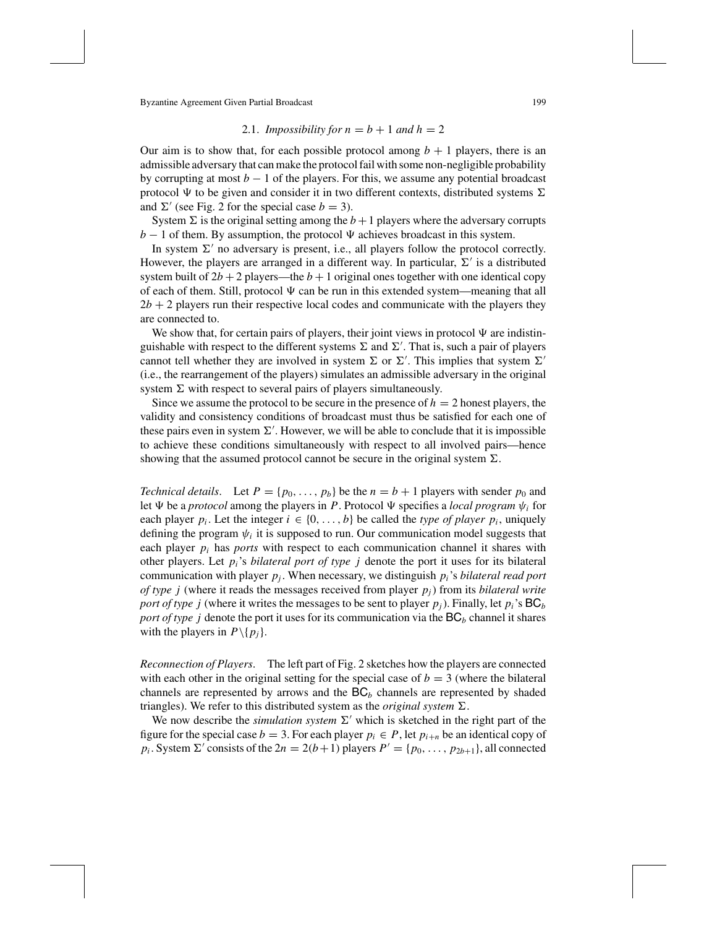#### 2.1. *Impossibility for*  $n = b + 1$  *and*  $h = 2$

Our aim is to show that, for each possible protocol among  $b + 1$  players, there is an admissible adversary that can make the protocol fail with some non-negligible probability by corrupting at most  $b - 1$  of the players. For this, we assume any potential broadcast protocol  $\Psi$  to be given and consider it in two different contexts, distributed systems  $\Sigma$ and  $\Sigma'$  (see Fig. 2 for the special case  $b = 3$ ).

System  $\Sigma$  is the original setting among the  $b+1$  players where the adversary corrupts  $b-1$  of them. By assumption, the protocol  $\Psi$  achieves broadcast in this system.

In system  $\Sigma'$  no adversary is present, i.e., all players follow the protocol correctly. However, the players are arranged in a different way. In particular,  $\Sigma'$  is a distributed system built of  $2b + 2$  players—the  $b + 1$  original ones together with one identical copy of each of them. Still, protocol  $\Psi$  can be run in this extended system—meaning that all  $2b + 2$  players run their respective local codes and communicate with the players they are connected to.

We show that, for certain pairs of players, their joint views in protocol  $\Psi$  are indistinguishable with respect to the different systems  $\Sigma$  and  $\Sigma'$ . That is, such a pair of players cannot tell whether they are involved in system  $\Sigma$  or  $\Sigma'$ . This implies that system  $\Sigma'$ (i.e., the rearrangement of the players) simulates an admissible adversary in the original system  $\Sigma$  with respect to several pairs of players simultaneously.

Since we assume the protocol to be secure in the presence of  $h = 2$  honest players, the validity and consistency conditions of broadcast must thus be satisfied for each one of these pairs even in system  $\Sigma'$ . However, we will be able to conclude that it is impossible to achieve these conditions simultaneously with respect to all involved pairs—hence showing that the assumed protocol cannot be secure in the original system  $\Sigma$ .

*Technical details.* Let  $P = \{p_0, \ldots, p_b\}$  be the  $n = b + 1$  players with sender  $p_0$  and let  $\Psi$  be a *protocol* among the players in *P*. Protocol  $\Psi$  specifies a *local program*  $\psi_i$  for each player  $p_i$ . Let the integer  $i \in \{0, \ldots, b\}$  be called the *type of player*  $p_i$ , uniquely defining the program  $\psi_i$  it is supposed to run. Our communication model suggests that each player *pi* has *ports* with respect to each communication channel it shares with other players. Let *pi*'s *bilateral port of type j* denote the port it uses for its bilateral communication with player  $p_i$ . When necessary, we distinguish  $p_i$ 's *bilateral read port of type j* (where it reads the messages received from player  $p_i$ ) from its *bilateral write port of type j* (where it writes the messages to be sent to player  $p_j$ ). Finally, let  $p_i$ 's BC<sub>b</sub> *port of type j* denote the port it uses for its communication via the  $BC_b$  channel it shares with the players in  $P \setminus \{p_j\}$ .

*Reconnection of Players*. The left part of Fig. 2 sketches how the players are connected with each other in the original setting for the special case of  $b = 3$  (where the bilateral channels are represented by arrows and the  $BC_b$  channels are represented by shaded triangles). We refer to this distributed system as the *original system*  $\Sigma$ .

We now describe the *simulation system*  $\Sigma'$  which is sketched in the right part of the figure for the special case  $b = 3$ . For each player  $p_i \in P$ , let  $p_{i+n}$  be an identical copy of  $p_i$ . System  $\Sigma'$  consists of the  $2n = 2(b+1)$  players  $P' = \{p_0, \ldots, p_{2b+1}\}$ , all connected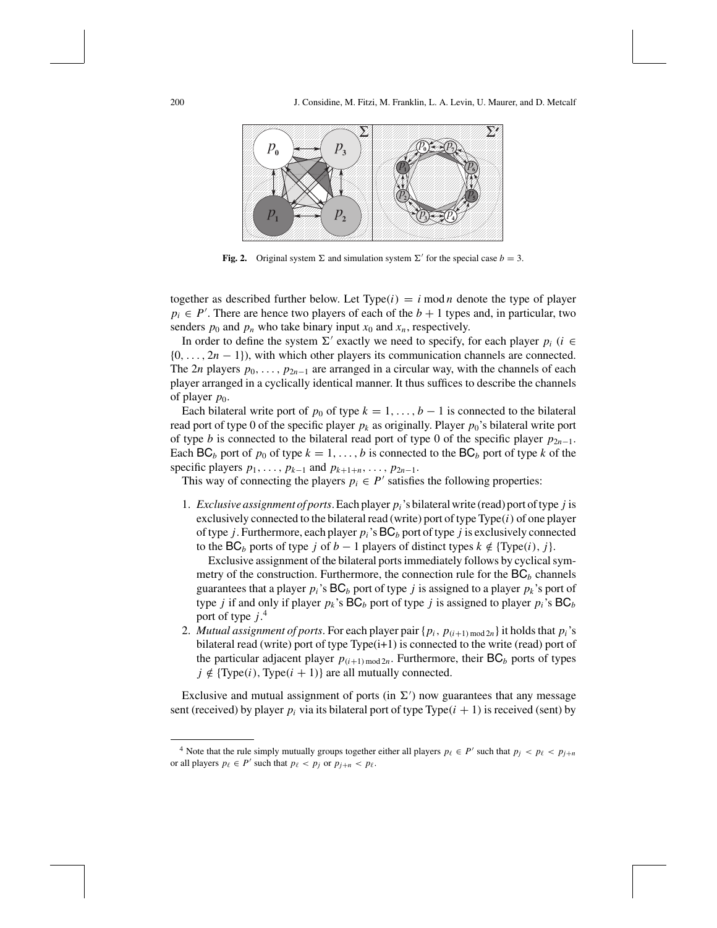

**Fig. 2.** Original system  $\Sigma$  and simulation system  $\Sigma'$  for the special case  $b = 3$ .

together as described further below. Let  $Type(i) = i \text{ mod } n$  denote the type of player  $p_i \in P'$ . There are hence two players of each of the  $b + 1$  types and, in particular, two senders  $p_0$  and  $p_n$  who take binary input  $x_0$  and  $x_n$ , respectively.

In order to define the system  $\Sigma'$  exactly we need to specify, for each player  $p_i$  (*i* ∈ {0,..., 2*n* − 1}), with which other players its communication channels are connected. The 2*n* players  $p_0, \ldots, p_{2n-1}$  are arranged in a circular way, with the channels of each player arranged in a cyclically identical manner. It thus suffices to describe the channels of player  $p_0$ .

Each bilateral write port of  $p_0$  of type  $k = 1, \ldots, b - 1$  is connected to the bilateral read port of type 0 of the specific player  $p_k$  as originally. Player  $p_0$ 's bilateral write port of type *b* is connected to the bilateral read port of type 0 of the specific player  $p_{2n-1}$ . Each  $BC_b$  port of  $p_0$  of type  $k = 1, \ldots, b$  is connected to the  $BC_b$  port of type k of the specific players  $p_1, \ldots, p_{k-1}$  and  $p_{k+1+n}, \ldots, p_{2n-1}$ .

This way of connecting the players  $p_i \in P'$  satisfies the following properties:

1. *Exclusive assignment of ports*. Each player *pi*'s bilateral write (read) port of type *j* is exclusively connected to the bilateral read (write) port of type Type(*i*) of one player of type *j*. Furthermore, each player  $p_i$ 's  $BC_b$  port of type *j* is exclusively connected to the  $BC_b$  ports of type *j* of *b* − 1 players of distinct types  $k \notin \{Type(i), j\}.$ 

Exclusive assignment of the bilateral ports immediately follows by cyclical symmetry of the construction. Furthermore, the connection rule for the  $BC_b$  channels guarantees that a player  $p_i$ 's  $BC_b$  port of type *j* is assigned to a player  $p_k$ 's port of type *j* if and only if player  $p_k$ 's  $BC_b$  port of type *j* is assigned to player  $p_i$ 's  $BC_b$ port of type *j*. 4

2. *Mutual assignment of ports*. For each player pair { $p_i$ ,  $p_{(i+1) \text{ mod } 2n}$ } it holds that  $p_i$ 's bilateral read (write) port of type Type(i+1) is connected to the write (read) port of the particular adjacent player  $p_{(i+1) \mod 2n}$ . Furthermore, their  $BC_b$  ports of types  $j \notin \{Type(i), Type(i + 1)\}$  are all mutually connected.

Exclusive and mutual assignment of ports (in  $\Sigma'$ ) now guarantees that any message sent (received) by player  $p_i$  via its bilateral port of type Type( $i + 1$ ) is received (sent) by

<sup>&</sup>lt;sup>4</sup> Note that the rule simply mutually groups together either all players  $p_\ell \in P'$  such that  $p_j < p_\ell < p_{j+n}$ or all players  $p_{\ell} \in P'$  such that  $p_{\ell} < p_j$  or  $p_{j+n} < p_{\ell}$ .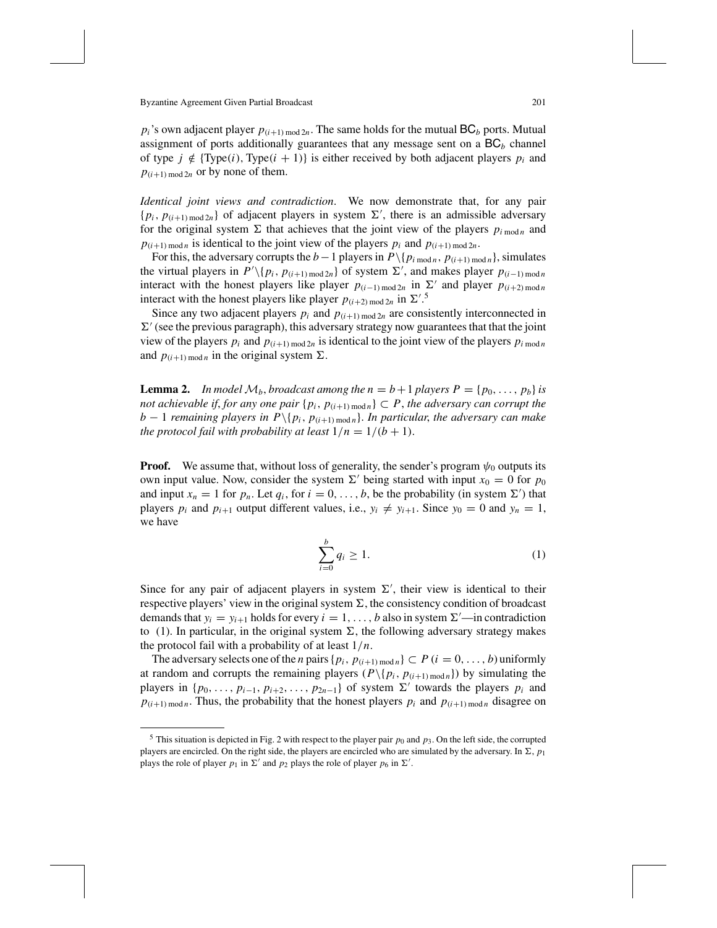$p_i$ 's own adjacent player  $p_{(i+1) \mod 2n}$ . The same holds for the mutual  $BC_b$  ports. Mutual assignment of ports additionally guarantees that any message sent on a  $BC<sub>b</sub>$  channel of type  $j \notin \{Type(i), Type(i + 1)\}$  is either received by both adjacent players  $p_i$  and  $p_{(i+1) \mod 2n}$  or by none of them.

*Identical joint views and contradiction*. We now demonstrate that, for any pair  $\{p_i, p_{(i+1) \text{ mod } 2n}\}\$  of adjacent players in system  $\Sigma'$ , there is an admissible adversary for the original system  $\Sigma$  that achieves that the joint view of the players  $p_{i \text{ mod } n}$  and  $p_{(i+1) \bmod n}$  is identical to the joint view of the players  $p_i$  and  $p_{(i+1) \bmod 2n}$ .

For this, the adversary corrupts the *b* − 1 players in  $P\setminus\{p_{i \text{ mod } n}, p_{(i+1) \text{ mod } n}\}$ , simulates the virtual players in  $P' \setminus \{p_i, p_{(i+1) \mod 2n}\}\$  of system  $\Sigma'$ , and makes player  $p_{(i-1) \mod n}$ interact with the honest players like player  $p_{(i-1) \mod 2n}$  in  $\Sigma'$  and player  $p_{(i+2) \mod n}$ interact with the honest players like player  $p_{(i+2) \mod 2n}$  in  $\Sigma'.^5$ 

Since any two adjacent players  $p_i$  and  $p_{(i+1) \mod 2n}$  are consistently interconnected in  $\Sigma'$  (see the previous paragraph), this adversary strategy now guarantees that that the joint view of the players  $p_i$  and  $p_{(i+1) \mod 2n}$  is identical to the joint view of the players  $p_{i \mod n}$ and  $p_{(i+1) \mod n}$  in the original system  $\Sigma$ .

**Lemma 2.** In model  $M_b$ , broadcast among the  $n = b + 1$  players  $P = \{p_0, \ldots, p_b\}$  is *not achievable if, for any one pair*  $\{p_i, p_{(i+1) \text{ mod } n}\} \subset P$ , *the adversary can corrupt the b* − 1 *remaining players in*  $P \setminus \{p_i, p_{(i+1) \mod n}\}\$ . *In particular, the adversary can make the protocol fail with probability at least*  $1/n = 1/(b + 1)$ *.* 

**Proof.** We assume that, without loss of generality, the sender's program  $\psi_0$  outputs its own input value. Now, consider the system  $\Sigma'$  being started with input  $x_0 = 0$  for  $p_0$ and input  $x_n = 1$  for  $p_n$ . Let  $q_i$ , for  $i = 0, \ldots, b$ , be the probability (in system  $\Sigma'$ ) that players  $p_i$  and  $p_{i+1}$  output different values, i.e.,  $y_i \neq y_{i+1}$ . Since  $y_0 = 0$  and  $y_n = 1$ , we have

$$
\sum_{i=0}^{b} q_i \ge 1. \tag{1}
$$

Since for any pair of adjacent players in system  $\Sigma'$ , their view is identical to their respective players' view in the original system  $\Sigma$ , the consistency condition of broadcast demands that  $y_i = y_{i+1}$  holds for every  $i = 1, ..., b$  also in system  $\Sigma'$ —in contradiction to (1). In particular, in the original system  $\Sigma$ , the following adversary strategy makes the protocol fail with a probability of at least 1/*n*.

The adversary selects one of the *n* pairs { $p_i$ ,  $p_{(i+1) \text{ mod } n}$ }  $\subset P$  ( $i = 0, \ldots, b$ ) uniformly at random and corrupts the remaining players  $(P \setminus \{p_i, p_{(i+1) \mod n}\})$  by simulating the players in  $\{p_0, \ldots, p_{i-1}, p_{i+2}, \ldots, p_{2n-1}\}$  of system  $\Sigma'$  towards the players  $p_i$  and  $p_{(i+1) \text{ mod } n}$ . Thus, the probability that the honest players  $p_i$  and  $p_{(i+1) \text{ mod } n}$  disagree on

<sup>&</sup>lt;sup>5</sup> This situation is depicted in Fig. 2 with respect to the player pair  $p_0$  and  $p_3$ . On the left side, the corrupted players are encircled. On the right side, the players are encircled who are simulated by the adversary. In  $\Sigma$ ,  $p_1$ plays the role of player  $p_1$  in  $\Sigma'$  and  $p_2$  plays the role of player  $p_6$  in  $\Sigma'$ .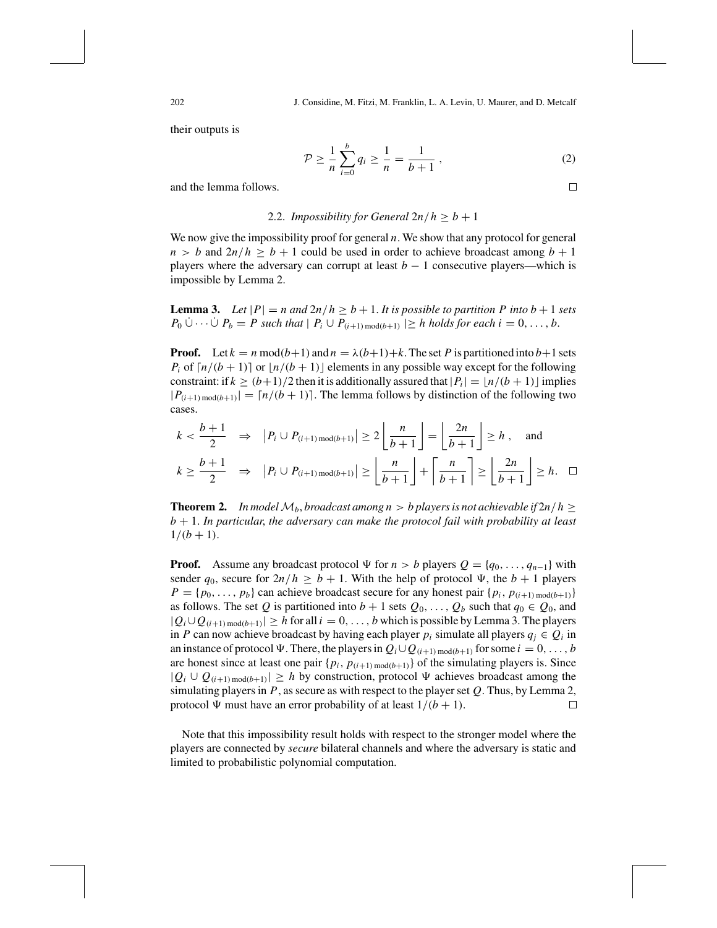their outputs is

$$
\mathcal{P} \ge \frac{1}{n} \sum_{i=0}^{b} q_i \ge \frac{1}{n} = \frac{1}{b+1} \,,\tag{2}
$$

 $\Box$ 

and the lemma follows.

#### 2.2. *Impossibility for General*  $2n/h \geq b + 1$

We now give the impossibility proof for general *n*. We show that any protocol for general  $n > b$  and  $2n/h \ge b + 1$  could be used in order to achieve broadcast among  $b + 1$ players where the adversary can corrupt at least  $b - 1$  consecutive players—which is impossible by Lemma 2.

**Lemma 3.** Let  $|P| = n$  and  $2n/h \ge b + 1$ . It is possible to partition P into  $b + 1$  sets  $P_0 \cup \cdots \cup P_h = P$  such that  $| P_i \cup P_{(i+1) \bmod (h+1)} | \geq h$  holds for each  $i = 0, \ldots, b$ .

**Proof.** Let  $k = n \mod(b+1)$  and  $n = \lambda(b+1)+k$ . The set *P* is partitioned into  $b+1$  sets  $P_i$  of  $\lceil n/(b+1) \rceil$  or  $\lfloor n/(b+1) \rfloor$  elements in any possible way except for the following constraint: if  $k \ge (b+1)/2$  then it is additionally assured that  $|P_i| = \lfloor n/(b+1) \rfloor$  implies  $|P_{(i+1) \bmod (b+1)}| = \lceil n/(b+1) \rceil$ . The lemma follows by distinction of the following two cases.

$$
k < \frac{b+1}{2} \quad \Rightarrow \quad \left| P_i \cup P_{(i+1) \mod (b+1)} \right| \geq 2 \left\lfloor \frac{n}{b+1} \right\rfloor = \left\lfloor \frac{2n}{b+1} \right\rfloor \geq h \,, \quad \text{and}
$$
\n
$$
k \geq \frac{b+1}{2} \quad \Rightarrow \quad \left| P_i \cup P_{(i+1) \mod (b+1)} \right| \geq \left\lfloor \frac{n}{b+1} \right\rfloor + \left\lceil \frac{n}{b+1} \right\rceil \geq \left\lfloor \frac{2n}{b+1} \right\rfloor \geq h. \quad \Box
$$

**Theorem 2.** In model  $M_b$ , broadcast among  $n > b$  players is not achievable if  $2n/h \ge$ *b* + 1. *In particular*, *the adversary can make the protocol fail with probability at least*  $1/(b+1)$ .

**Proof.** Assume any broadcast protocol  $\Psi$  for  $n > b$  players  $Q = \{q_0, \ldots, q_{n-1}\}$  with sender  $q_0$ , secure for  $2n/h \ge b + 1$ . With the help of protocol  $\Psi$ , the  $b + 1$  players  $P = \{p_0, \ldots, p_b\}$  can achieve broadcast secure for any honest pair  $\{p_i, p_{(i+1) \text{ mod}(b+1)}\}$ as follows. The set *Q* is partitioned into  $b + 1$  sets  $Q_0, \ldots, Q_b$  such that  $q_0 \in Q_0$ , and  $|Q_i \cup Q_{(i+1) \bmod (b+1)}| \geq h$  for all  $i = 0, \ldots, b$  which is possible by Lemma 3. The players in *P* can now achieve broadcast by having each player  $p_i$  simulate all players  $q_i \in Q_i$  in an instance of protocol  $\Psi$ . There, the players in  $Q_i \cup Q_{(i+1) \bmod (b+1)}$  for some  $i = 0, \ldots, b$ are honest since at least one pair  $\{p_i, p_{(i+1) \text{ mod}(b+1)}\}$  of the simulating players is. Since  $|Q_i \cup Q_{(i+1) \text{ mod}(b+1)}| \geq h$  by construction, protocol  $\Psi$  achieves broadcast among the simulating players in *P*, as secure as with respect to the player set *Q*. Thus, by Lemma 2, protocol  $\Psi$  must have an error probability of at least  $1/(b + 1)$ .  $\Box$ 

Note that this impossibility result holds with respect to the stronger model where the players are connected by *secure* bilateral channels and where the adversary is static and limited to probabilistic polynomial computation.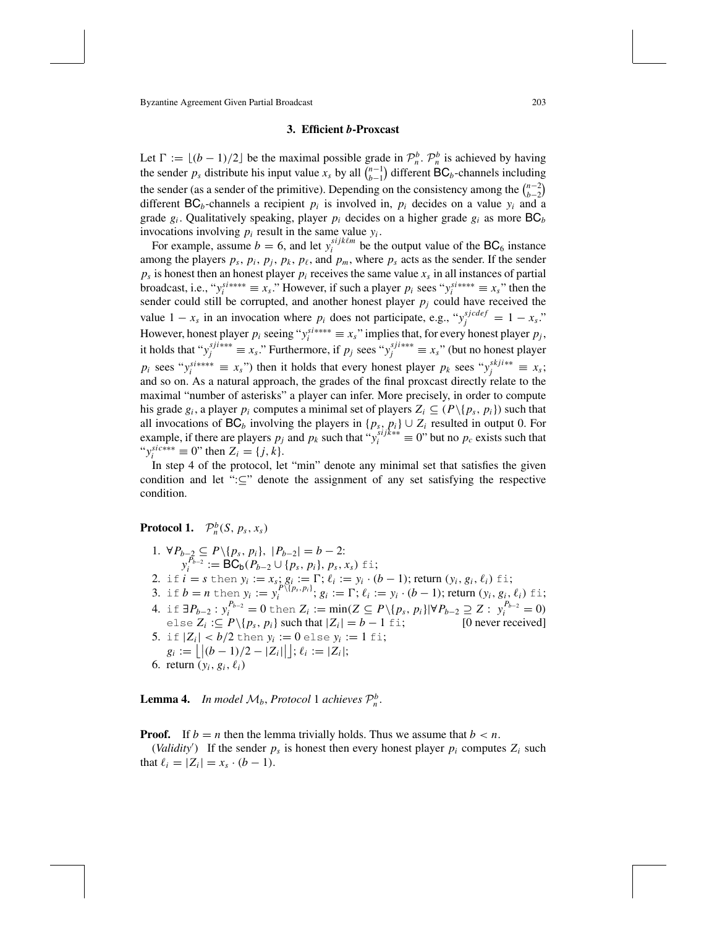#### **3. Efficient** *b***-Proxcast**

Let  $\Gamma := \lfloor (b-1)/2 \rfloor$  be the maximal possible grade in  $\mathcal{P}_n^b$ .  $\mathcal{P}_n^b$  is achieved by having the sender  $p_s$  distribute his input value  $x_s$  by all  $\binom{n-1}{b-1}$  different BC<sub>b</sub>-channels including the sender (as a sender of the primitive). Depending on the consistency among the  $\binom{n-2}{b-2}$ different  $BC_b$ -channels a recipient  $p_i$  is involved in,  $p_i$  decides on a value  $y_i$  and a grade  $g_i$ . Qualitatively speaking, player  $p_i$  decides on a higher grade  $g_i$  as more  $BC_b$ invocations involving  $p_i$  result in the same value  $y_i$ .

For example, assume  $b = 6$ , and let  $y_i^{sijk\ell m}$  be the output value of the BC<sub>6</sub> instance among the players  $p_s$ ,  $p_i$ ,  $p_j$ ,  $p_k$ ,  $p_\ell$ , and  $p_m$ , where  $p_s$  acts as the sender. If the sender  $p_s$  is honest then an honest player  $p_i$  receives the same value  $x_s$  in all instances of partial broadcast, i.e., " $y_i^{si****} \equiv x_s$ ." However, if such a player  $p_i$  sees " $y_i^{si****} \equiv x_s$ " then the sender could still be corrupted, and another honest player  $p_j$  could have received the value  $1 - x_s$  in an invocation where  $p_i$  does not participate, e.g., " $y_j^{s_j c d e f} = 1 - x_s$ ." However, honest player  $p_i$  seeing " $y_i^{si****} \equiv x_s$ " implies that, for every honest player  $p_j$ , it holds that " $y_j^{sji***} \equiv x_s$ ." Furthermore, if  $p_j$  sees " $y_j^{sji***} \equiv x_s$ " (but no honest player *p<sub>i</sub>* sees "*y*<sub>*s*</sub><sup>*si*∗∗∗\*</sup>  $\equiv x_s$ ") then it holds that every honest player *p<sub>k</sub>* sees "*y*<sub>*j*</sub><sup>*skji*\*\*</sup>  $\equiv x_s$ ; and so on. As a natural approach, the grades of the final proxcast directly relate to the maximal "number of asterisks" a player can infer. More precisely, in order to compute his grade  $g_i$ , a player  $p_i$  computes a minimal set of players  $Z_i \subseteq (P \setminus \{p_s, p_i\})$  such that all invocations of  $BC_b$  involving the players in  $\{p_s, p_i\} \cup Z_i$  resulted in output 0. For example, if there are players  $p_j$  and  $p_k$  such that  $\sqrt[n]{\frac{s}{j}}$   $\neq i$   $\neq j$  but no  $p_c$  exists such that " $y_i^{sic***}$  ≡ 0" then  $Z_i = \{j, k\}.$ 

In step 4 of the protocol, let "min" denote any minimal set that satisfies the given condition and let ":⊆" denote the assignment of any set satisfying the respective condition.

# **Protocol 1.**  $\mathcal{P}_n^b(S, p_s, x_s)$

1. ∀ $P_{b-2} \subseteq P \setminus \{p_s, p_i\}, |P_{b-2}| = b - 2$ :  $y_i^{\overline{P}_{b-2}}$  := **BC**<sub>b</sub>( $P_{b-2}$  ∪ { $p_s$ ,  $p_i$ },  $p_s$ ,  $x_s$ ) fi; 2. if  $i = s$  then  $y_i := x_s$ ;  $g_i := \Gamma$ ;  $\ell_i := y_i \cdot (b-1)$ ; return  $(y_i, g_i, \ell_i)$  fi; 3. if  $b = n$  then  $y_i := y_i^{P(\{p_s, p_i\}}; g_i := \Gamma; \ell_i := y_i \cdot (b-1);$  return  $(y_i, g_i, \ell_i)$  fi; 4. if  $\exists P_{b-2}$ :  $y_i^{P_{b-2}} = 0$  then  $Z_i := \min(Z \subseteq P \setminus \{p_s, p_i\} | \forall P_{b-2} \supseteq Z$ :  $y_i^{P_{b-2}} = 0)$ else  $Z_i$ : $\subseteq$  *P*\{ $p_s$ ,  $p_i$ } such that  $|Z_i| = b - 1$  fi; [0 never received] 5. if  $|Z_i| < b/2$  then  $y_i := 0$  else  $y_i := 1$  fi;  $g_i := \left[ |(b-1)/2 - |Z_i| | \right]; \ell_i := |Z_i|;$ 6. return  $(y_i, g_i, \ell_i)$ 

**Lemma 4.** *In model*  $M_b$ , *Protocol* 1 *achieves*  $P_h^b$ .

**Proof.** If  $b = n$  then the lemma trivially holds. Thus we assume that  $b < n$ .

(*Validity'*) If the sender  $p_s$  is honest then every honest player  $p_i$  computes  $Z_i$  such that  $\ell_i = |Z_i| = x_s \cdot (b-1)$ .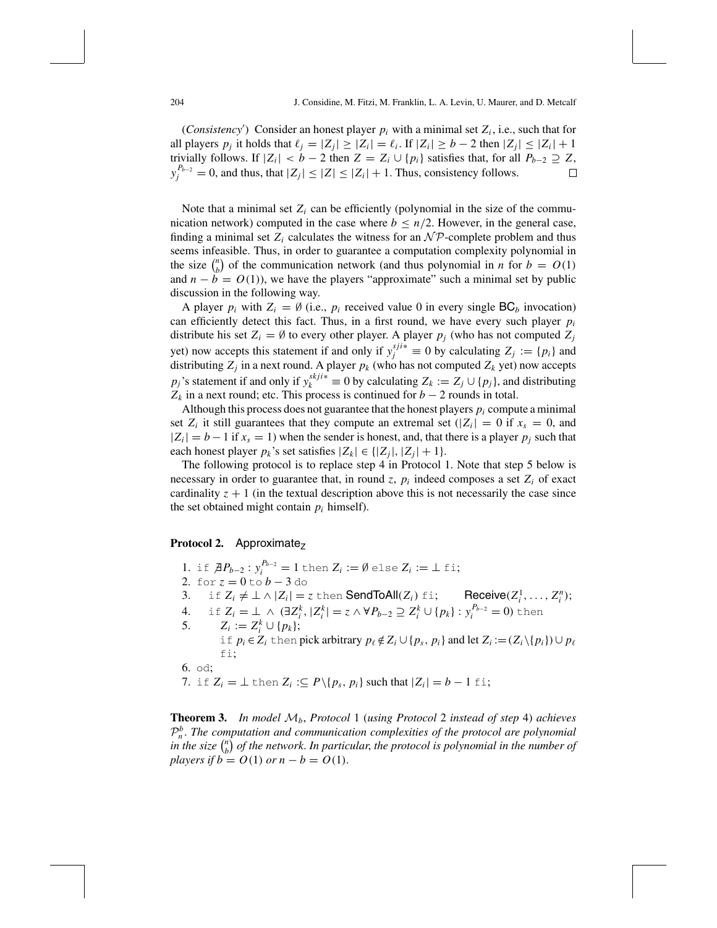(*Consistency'*) Consider an honest player  $p_i$  with a minimal set  $Z_i$ , i.e., such that for all players  $p_j$  it holds that  $\ell_j = |Z_j| \geq |Z_i| = \ell_i$ . If  $|Z_i| \geq b - 2$  then  $|Z_j| \leq |Z_i| + 1$ trivially follows. If  $|Z_i| < b - 2$  then  $Z = Z_i \cup \{p_i\}$  satisfies that, for all  $P_{b-2} \supseteq Z$ ,  $y_j^{P_{b-2}} = 0$ , and thus, that  $|Z_j| \leq |Z| \leq |Z_i| + 1$ . Thus, consistency follows.  $\Box$ 

Note that a minimal set  $Z_i$  can be efficiently (polynomial in the size of the communication network) computed in the case where  $b \leq n/2$ . However, in the general case, finding a minimal set  $Z_i$  calculates the witness for an  $\mathcal{NP}$ -complete problem and thus seems infeasible. Thus, in order to guarantee a computation complexity polynomial in the size  $\binom{n}{b}$  of the communication network (and thus polynomial in *n* for  $b = O(1)$ and  $n - b = O(1)$ , we have the players "approximate" such a minimal set by public discussion in the following way.

A player  $p_i$  with  $Z_i = \emptyset$  (i.e.,  $p_i$  received value 0 in every single  $BC_b$  invocation) can efficiently detect this fact. Thus, in a first round, we have every such player  $p_i$ distribute his set  $Z_i = \emptyset$  to every other player. A player  $p_j$  (who has not computed  $Z_j$ yet) now accepts this statement if and only if  $y_j^{sji*} \equiv 0$  by calculating  $Z_j := \{p_i\}$  and distributing  $Z_j$  in a next round. A player  $p_k$  (who has not computed  $Z_k$  yet) now accepts *p<sub>j</sub>*'s statement if and only if  $y_k^{skji*} \equiv 0$  by calculating  $Z_k := Z_j \cup \{p_j\}$ , and distributing  $Z_k$  in a next round; etc. This process is continued for  $b - 2$  rounds in total.

Although this process does not guarantee that the honest players  $p_i$  compute a minimal set  $Z_i$  it still guarantees that they compute an extremal set  $(|Z_i| = 0$  if  $x_s = 0$ , and  $|Z_i| = b - 1$  if  $x_s = 1$ ) when the sender is honest, and, that there is a player  $p_j$  such that each honest player  $p_k$ 's set satisfies  $|Z_k| \in \{ |Z_j|, |Z_j| + 1 \}.$ 

The following protocol is to replace step 4 in Protocol 1. Note that step 5 below is necessary in order to guarantee that, in round *z*,  $p_i$  indeed composes a set  $Z_i$  of exact cardinality  $z + 1$  (in the textual description above this is not necessarily the case since the set obtained might contain  $p_i$  himself).

#### **Protocol 2.** Approximate<sub>z</sub>

- 1. if  $\bar{A}P_{b-2}$ :  $y_i^{P_{b-2}} = 1$  then  $Z_i := ∅$  else  $Z_i := ∥$  fi;
- 2. for *z* = 0 to *b* − 3 do
- 3. if  $Z_i \neq \bot \land |Z_i| = z$  then **SendToAll** $(Z_i)$  fi; **Receive** $(Z_i^1, \ldots, Z_i^n)$ ;
- 4. if  $Z_i = \perp \wedge (\exists Z_i^k, |Z_i^k| = z \wedge \forall P_{b-2} \supseteq Z_i^k \cup \{p_k\} : y_i^{P_{b-2}} = 0)$  then

5.  $Z_i := Z_i^k \cup \{p_k\};$ if  $p_i \in Z_i$  then pick arbitrary  $p_\ell \notin Z_i \cup \{p_s, p_i\}$  and let  $Z_i := (Z_i \setminus \{p_i\}) \cup p_\ell$ fi;

7. if  $Z_i = \perp$  then  $Z_i := P \setminus \{p_s, p_i\}$  such that  $|Z_i| = b - 1$  fi;

**Theorem 3.** *In model* M*b*, *Protocol* 1 (*using Protocol* 2 *instead of step* 4) *achieves*  $\mathcal{P}_n^b$ . The computation and communication complexities of the protocol are polynomial *in* the size  $\binom{n}{b}$  of the network. In particular, the protocol is polynomial in the number of *players if*  $b = O(1)$  *or*  $n - b = O(1)$ .

<sup>6.</sup> od;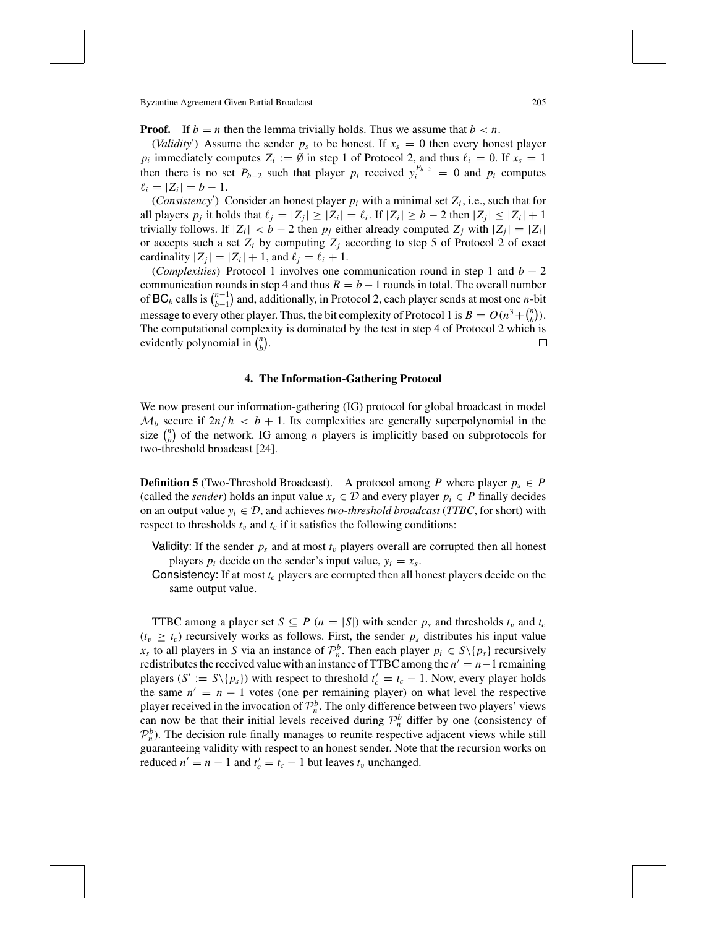**Proof.** If  $b = n$  then the lemma trivially holds. Thus we assume that  $b < n$ .

(*Validity'*) Assume the sender  $p_s$  to be honest. If  $x_s = 0$  then every honest player  $p_i$  immediately computes  $Z_i := \emptyset$  in step 1 of Protocol 2, and thus  $\ell_i = 0$ . If  $x_s = 1$ then there is no set  $P_{b-2}$  such that player  $p_i$  received  $y_i^{P_{b-2}} = 0$  and  $p_i$  computes  $\ell_i = |Z_i| = b - 1.$ 

(*Consistency'*) Consider an honest player  $p_i$  with a minimal set  $Z_i$ , i.e., such that for all players  $p_j$  it holds that  $\ell_j = |Z_j| \geq |Z_i| = \ell_i$ . If  $|Z_i| \geq b - 2$  then  $|Z_j| \leq |Z_i| + 1$ trivially follows. If  $|Z_i| < b - 2$  then  $p_j$  either already computed  $Z_j$  with  $|Z_j| = |Z_i|$ or accepts such a set  $Z_i$  by computing  $Z_j$  according to step 5 of Protocol 2 of exact cardinality  $|Z_j| = |Z_i| + 1$ , and  $\ell_j = \ell_i + 1$ .

(*Complexities*) Protocol 1 involves one communication round in step 1 and *b* − 2 communication rounds in step 4 and thus  $R = b - 1$  rounds in total. The overall number of  $BC_b$  calls is  $\binom{n-1}{b-1}$  and, additionally, in Protocol 2, each player sends at most one *n*-bit message to every other player. Thus, the bit complexity of Protocol 1 is  $B = O(n^3 + {n \choose b})$ . The computational complexity is dominated by the test in step 4 of Protocol 2 which is evidently polynomial in  $\binom{n}{b}$ .  $\Box$ 

#### **4. The Information-Gathering Protocol**

We now present our information-gathering (IG) protocol for global broadcast in model  $\mathcal{M}_b$  secure if  $2n/h < b + 1$ . Its complexities are generally superpolynomial in the size  $\binom{n}{b}$  of the network. IG among *n* players is implicitly based on subprotocols for two-threshold broadcast [24].

**Definition 5** (Two-Threshold Broadcast). A protocol among *P* where player  $p_s \in P$ (called the *sender*) holds an input value  $x_s \in \mathcal{D}$  and every player  $p_i \in P$  finally decides on an output value  $y_i \in \mathcal{D}$ , and achieves *two-threshold broadcast* (*TTBC*, for short) with respect to thresholds  $t<sub>v</sub>$  and  $t<sub>c</sub>$  if it satisfies the following conditions:

Validity: If the sender  $p_s$  and at most  $t_v$  players overall are corrupted then all honest players  $p_i$  decide on the sender's input value,  $y_i = x_s$ .

Consistency: If at most  $t_c$  players are corrupted then all honest players decide on the same output value.

**TTBC** among a player set  $S \subseteq P$  ( $n = |S|$ ) with sender  $p_s$  and thresholds  $t_v$  and  $t_c$  $(t_v \geq t_c)$  recursively works as follows. First, the sender  $p_s$  distributes his input value *x<sub>s</sub>* to all players in *S* via an instance of  $\mathcal{P}_n^b$ . Then each player  $p_i \in S \setminus \{p_s\}$  recursively redistributes the received value with an instance of TTBC among the  $n' = n - 1$  remaining players (*S'* := *S*\{*p<sub>s</sub>*}) with respect to threshold  $t'_{c} = t_{c} - 1$ . Now, every player holds the same  $n' = n - 1$  votes (one per remaining player) on what level the respective player received in the invocation of  $\mathcal{P}_n^b$ . The only difference between two players' views can now be that their initial levels received during  $\mathcal{P}_n^b$  differ by one (consistency of  $\mathcal{P}_n^b$ ). The decision rule finally manages to reunite respective adjacent views while still guaranteeing validity with respect to an honest sender. Note that the recursion works on reduced  $n' = n - 1$  and  $t'_c = t_c - 1$  but leaves  $t_v$  unchanged.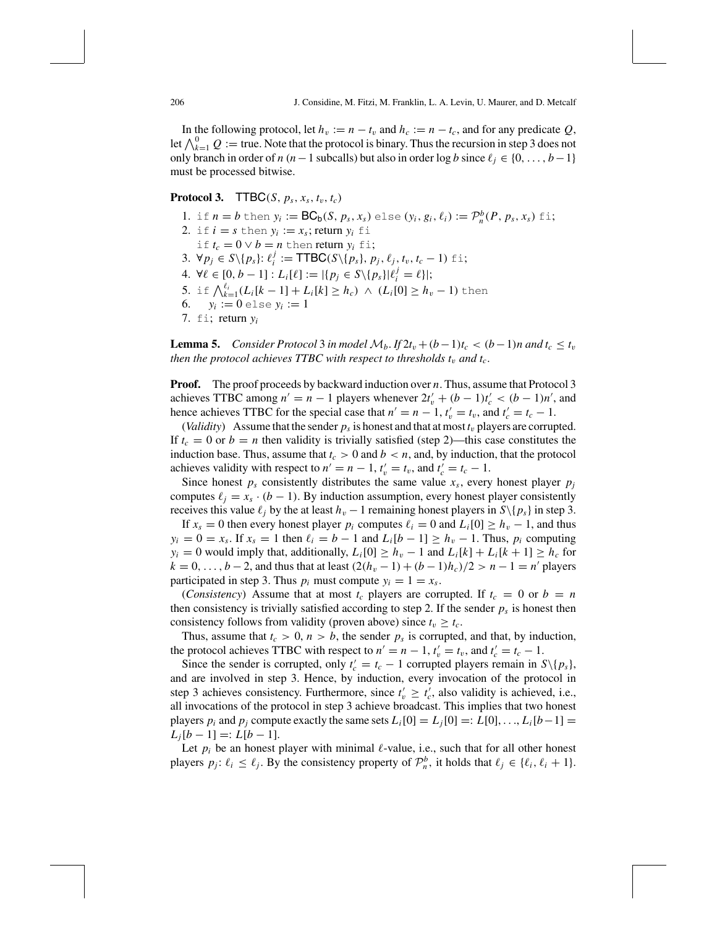In the following protocol, let  $h_v := n - t_v$  and  $h_c := n - t_c$ , and for any predicate *Q*, let  $\bigwedge_{k=1}^{0} Q :=$  true. Note that the protocol is binary. Thus the recursion in step 3 does not only branch in order of *n* (*n* − 1 subcalls) but also in order log *b* since  $\ell_j$  ∈ {0, ..., *b* − 1} must be processed bitwise.

#### **Protocol 3.** TTBC(*S*,  $p_s$ ,  $x_s$ ,  $t_v$ ,  $t_c$ )

- 1. if  $n = b$  then  $y_i := BC_b(S, p_s, x_s)$  else  $(y_i, g_i, \ell_i) := \mathcal{P}_n^b(P, p_s, x_s)$  fi;
- 2. if  $i = s$  then  $y_i := x_s$ ; return  $y_i$  fi
- if  $t_c = 0 \vee b = n$  then return  $y_i$  fi;
- 3.  $∀p_j ∈ S\{p_s\}: \ell_i^j := \text{TTBC}(S\{p_s\}, p_j, \ell_j, t_v, t_c 1)$  fi;
- 4.  $\forall \ell \in [0, b 1]: L_i[\ell] := |\{p_j \in S \setminus \{p_s\} | \ell_i^j = \ell\}|;$
- 5. if  $\bigwedge_{k=1}^{\ell_i} (L_i[k-1] + L_i[k] \ge h_c) \land (L_i[0] \ge h_v 1)$  then
- 6.  $y_i := 0$  else  $y_i := 1$
- 7.  $f_i$ ; return  $y_i$

**Lemma 5.** *Consider Protocol* 3 *in model*  $\mathcal{M}_b$ . *If*  $2t_v + (b-1)t_c < (b-1)n$  and  $t_c \leq t_v$ *then the protocol achieves TTBC with respect to thresholds*  $t_v$  *and*  $t_c$ *.* 

**Proof.** The proof proceeds by backward induction over *n*. Thus, assume that Protocol 3 achieves TTBC among  $n' = n - 1$  players whenever  $2t'_{v} + (b - 1)t'_{c} < (b - 1)n'$ , and hence achieves TTBC for the special case that  $n' = n - 1$ ,  $t'_v = t_v$ , and  $t'_c = t_c - 1$ .

(*Validity*) Assume that the sender  $p_s$  is honest and that at most  $t_v$  players are corrupted. If  $t_c = 0$  or  $b = n$  then validity is trivially satisfied (step 2)—this case constitutes the induction base. Thus, assume that  $t_c > 0$  and  $b < n$ , and, by induction, that the protocol achieves validity with respect to  $n' = n - 1$ ,  $t'_v = t_v$ , and  $t'_c = t_c - 1$ .

Since honest  $p_s$  consistently distributes the same value  $x_s$ , every honest player  $p_j$ computes  $\ell_i = x_s \cdot (b-1)$ . By induction assumption, every honest player consistently receives this value  $\ell_j$  by the at least  $h_v - 1$  remaining honest players in  $S \setminus \{p_s\}$  in step 3.

If  $x_s = 0$  then every honest player  $p_i$  computes  $\ell_i = 0$  and  $L_i[0] \ge h_v - 1$ , and thus  $y_i = 0 = x_s$ . If  $x_s = 1$  then  $\ell_i = b - 1$  and  $L_i[b - 1] \ge h_v - 1$ . Thus,  $p_i$  computing *y<sub>i</sub>* = 0 would imply that, additionally,  $L_i[0] \ge h_v - 1$  and  $L_i[k] + L_i[k+1] \ge h_c$  for *k* = 0, ..., *b* − 2, and thus that at least  $(2(h_v - 1) + (b - 1)h_c)/2 > n - 1 = n'$  players participated in step 3. Thus  $p_i$  must compute  $y_i = 1 = x_s$ .

(*Consistency*) Assume that at most  $t_c$  players are corrupted. If  $t_c = 0$  or  $b = n$ then consistency is trivially satisfied according to step 2. If the sender  $p_s$  is honest then consistency follows from validity (proven above) since  $t_v \geq t_c$ .

Thus, assume that  $t_c > 0$ ,  $n > b$ , the sender  $p_s$  is corrupted, and that, by induction, the protocol achieves TTBC with respect to  $n' = n - 1$ ,  $t'_v = t_v$ , and  $t'_c = t_c - 1$ .

Since the sender is corrupted, only  $t'_c = t_c - 1$  corrupted players remain in  $S \setminus \{p_s\}$ , and are involved in step 3. Hence, by induction, every invocation of the protocol in step 3 achieves consistency. Furthermore, since  $t'_v \geq t'_c$ , also validity is achieved, i.e., all invocations of the protocol in step 3 achieve broadcast. This implies that two honest players  $p_i$  and  $p_j$  compute exactly the same sets  $L_i[0] = L_j[0] =: L[0], \ldots, L_i[b-1] =$  $L_i[b-1] =: L[b-1].$ 

Let  $p_i$  be an honest player with minimal  $\ell$ -value, i.e., such that for all other honest players  $p_j: \ell_i \leq \ell_j$ . By the consistency property of  $\mathcal{P}_n^b$ , it holds that  $\ell_j \in \{\ell_i, \ell_i + 1\}$ .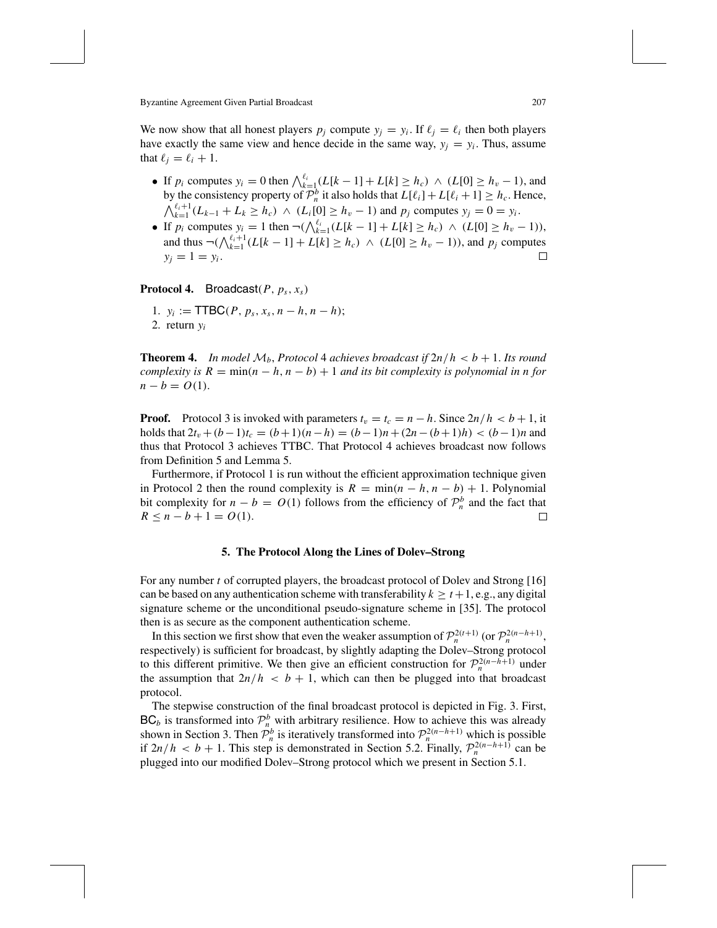We now show that all honest players  $p_j$  compute  $y_j = y_i$ . If  $\ell_j = \ell_i$  then both players have exactly the same view and hence decide in the same way,  $y_i = y_i$ . Thus, assume that  $\ell_i = \ell_i + 1$ .

- If  $p_i$  computes  $y_i = 0$  then  $\bigwedge_{k=1}^{\ell_i} (L[k-1] + L[k] \ge h_c) \land (L[0] \ge h_v 1)$ , and by the consistency property of  $\mathcal{P}_n^b$  it also holds that  $L[\ell_i] + L[\ell_i + 1] \geq h_c$ . Hence,  $\bigwedge_{k=1}^{\ell_i+1} (L_{k-1} + L_k \ge h_c) \land (L_i[0] \ge h_v - 1)$  and  $p_j$  computes  $y_j = 0 = y_i$ .
- If  $p_i$  computes  $y_i = 1$  then  $\neg(\bigwedge_{k=1}^{\ell_i} (L[k-1] + L[k]) \ge h_c) \land (L[0] \ge h_v 1)),$ and thus  $\neg(\bigwedge_{k=1}^{\ell_i+1} (L[k-1] + L[k] \ge h_c) \land (L[0] \ge h_v - 1)),$  and  $p_j$  computes  $y_i = 1 = y_i$ .

**Protocol 4.** Broadcast $(P, p_s, x_s)$ 

1.  $y_i := \text{TTBC}(P, p_s, x_s, n - h, n - h);$ 2. return *yi*

**Theorem 4.** In model  $M_b$ , Protocol 4 achieves broadcast if  $2n/h < b + 1$ . Its round *complexity is*  $R = \min(n - h, n - b) + 1$  *and its bit complexity is polynomial in n for*  $n - b = O(1)$ .

**Proof.** Protocol 3 is invoked with parameters  $t_v = t_c = n - h$ . Since  $2n/h < b + 1$ , it holds that  $2t_v + (b-1)t_c = (b+1)(n-h) = (b-1)n + (2n - (b+1)h) < (b-1)n$  and thus that Protocol 3 achieves TTBC. That Protocol 4 achieves broadcast now follows from Definition 5 and Lemma 5.

Furthermore, if Protocol 1 is run without the efficient approximation technique given in Protocol 2 then the round complexity is  $R = \min(n - h, n - b) + 1$ . Polynomial bit complexity for  $n - b = O(1)$  follows from the efficiency of  $\mathcal{P}_n^b$  and the fact that  $R \leq n - b + 1 = O(1).$  $\Box$ 

#### **5. The Protocol Along the Lines of Dolev–Strong**

For any number *t* of corrupted players, the broadcast protocol of Dolev and Strong [16] can be based on any authentication scheme with transferability  $k \ge t+1$ , e.g., any digital signature scheme or the unconditional pseudo-signature scheme in [35]. The protocol then is as secure as the component authentication scheme.

In this section we first show that even the weaker assumption of  $\mathcal{P}_n^{2(t+1)}$  (or  $\mathcal{P}_n^{2(n-h+1)}$ ), respectively) is sufficient for broadcast, by slightly adapting the Dolev–Strong protocol to this different primitive. We then give an efficient construction for  $\mathcal{P}_n^{2(n-h+1)}$  under the assumption that  $2n/h < b + 1$ , which can then be plugged into that broadcast protocol.

The stepwise construction of the final broadcast protocol is depicted in Fig. 3. First,  $BC_b$  is transformed into  $\mathcal{P}_n^b$  with arbitrary resilience. How to achieve this was already shown in Section 3. Then  $\mathcal{P}_n^b$  is iteratively transformed into  $\mathcal{P}_n^{2(n-h+1)}$  which is possible if  $2n/h < b + 1$ . This step is demonstrated in Section 5.2. Finally,  $\mathcal{P}_n^{2(n-h+1)}$  can be plugged into our modified Dolev–Strong protocol which we present in Section 5.1.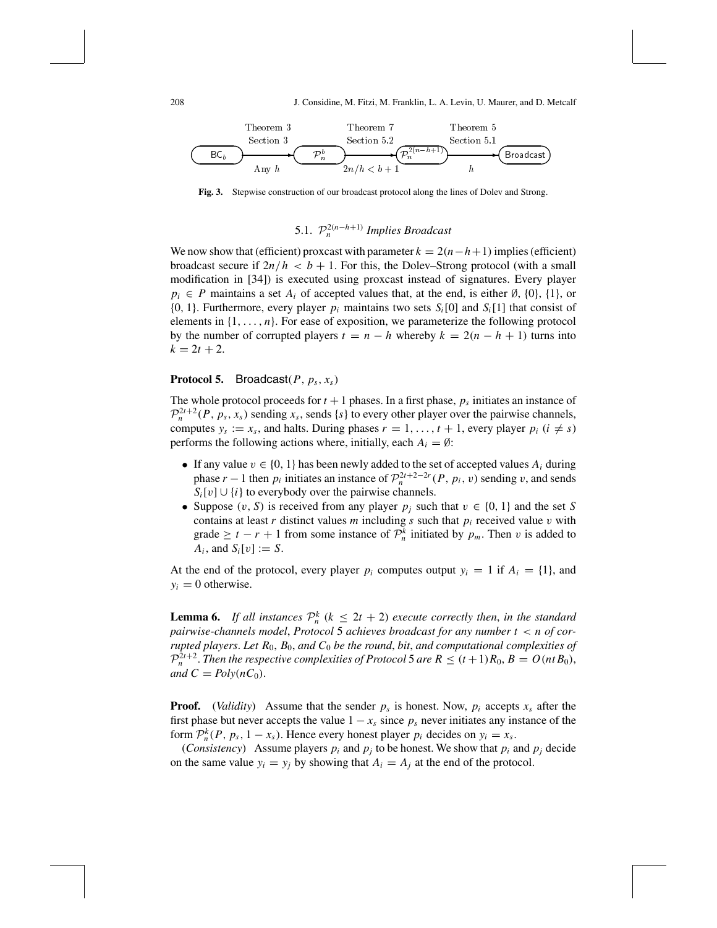208 J. Considine, M. Fitzi, M. Franklin, L. A. Levin, U. Maurer, and D. Metcalf



**Fig. 3.** Stepwise construction of our broadcast protocol along the lines of Dolev and Strong.

### 5.1.  $\mathcal{P}_n^{2(n-h+1)}$  *Implies Broadcast*

We now show that (efficient) proxcast with parameter  $k = 2(n-h+1)$  implies (efficient) broadcast secure if  $2n/h < b + 1$ . For this, the Dolev–Strong protocol (with a small modification in [34]) is executed using proxcast instead of signatures. Every player  $p_i \in P$  maintains a set  $A_i$  of accepted values that, at the end, is either  $\emptyset$ ,  $\{0\}$ ,  $\{1\}$ , or  $\{0, 1\}$ . Furthermore, every player  $p_i$  maintains two sets  $S_i[0]$  and  $S_i[1]$  that consist of elements in  $\{1, \ldots, n\}$ . For ease of exposition, we parameterize the following protocol by the number of corrupted players  $t = n - h$  whereby  $k = 2(n - h + 1)$  turns into  $k = 2t + 2.$ 

#### **Protocol 5.** Broadcast( $P$ ,  $p_s$ ,  $x_s$ )

The whole protocol proceeds for  $t + 1$  phases. In a first phase,  $p_s$  initiates an instance of  $\mathcal{P}_n^{2t+2}(P, p_s, x_s)$  sending  $x_s$ , sends {*s*} to every other player over the pairwise channels, computes  $y_s := x_s$ , and halts. During phases  $r = 1, \ldots, t + 1$ , every player  $p_i$  ( $i \neq s$ ) performs the following actions where, initially, each  $A_i = \emptyset$ :

- If any value  $v \in \{0, 1\}$  has been newly added to the set of accepted values  $A_i$  during phase *r* − 1 then  $p_i$  initiates an instance of  $\mathcal{P}_n^{2t+2-2r}(P, p_i, v)$  sending v, and sends *S<sub>i</sub>*[v] ∪ {*i*} to everybody over the pairwise channels.
- Suppose  $(v, S)$  is received from any player  $p_j$  such that  $v \in \{0, 1\}$  and the set S contains at least  $r$  distinct values  $m$  including  $s$  such that  $p_i$  received value  $v$  with grade  $\geq t - r + 1$  from some instance of  $\mathcal{P}_n^k$  initiated by  $p_m$ . Then v is added to  $A_i$ , and  $S_i[v] := S$ .

At the end of the protocol, every player  $p_i$  computes output  $y_i = 1$  if  $A_i = \{1\}$ , and  $y_i = 0$  otherwise.

**Lemma 6.** If all instances  $\mathcal{P}_n^k$  ( $k \leq 2t + 2$ ) execute correctly then, in the standard *pairwise-channels model*, *Protocol* 5 *achieves broadcast for any number t* < *n of corrupted players*. *Let R*0, *B*0, *and C*<sup>0</sup> *be the round*, *bit*, *and computational complexities of*  $\mathcal{P}_n^{2t+2}$ . Then the respective complexities of Protocol 5 are  $R \le (t+1)R_0$ ,  $B = O(ntB_0)$ , *and*  $C = Poly(nC_0)$ .

**Proof.** (*Validity*) Assume that the sender  $p_s$  is honest. Now,  $p_i$  accepts  $x_s$  after the first phase but never accepts the value  $1 - x_s$  since  $p_s$  never initiates any instance of the form  $\mathcal{P}_n^k(P, p_s, 1 - x_s)$ . Hence every honest player  $p_i$  decides on  $y_i = x_s$ .

(*Consistency*) Assume players  $p_i$  and  $p_j$  to be honest. We show that  $p_i$  and  $p_j$  decide on the same value  $y_i = y_j$  by showing that  $A_i = A_j$  at the end of the protocol.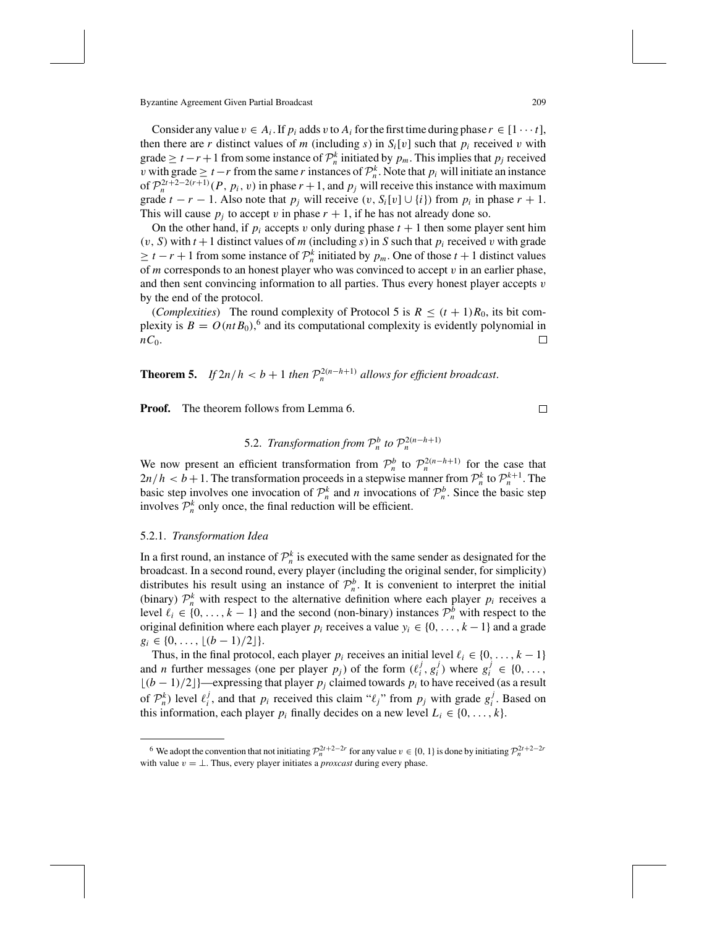Consider any value  $v \in A_i$ . If  $p_i$  adds v to  $A_i$  for the first time during phase  $r \in [1 \cdots t]$ , then there are *r* distinct values of *m* (including *s*) in  $S_i[v]$  such that  $p_i$  received v with grade  $\geq t - r + 1$  from some instance of  $\mathcal{P}_n^k$  initiated by  $p_m$ . This implies that  $p_j$  received *v* with grade  $\geq t - r$  from the same *r* instances of  $\mathcal{P}_n^k$ . Note that  $p_i$  will initiate an instance of  $\mathcal{P}_n^{2t+2-2(r+1)}(P, p_i, v)$  in phase  $r+1$ , and  $p_j$  will receive this instance with maximum grade  $t - r - 1$ . Also note that  $p_i$  will receive  $(v, S_i[v] \cup \{i\})$  from  $p_i$  in phase  $r + 1$ . This will cause  $p_i$  to accept v in phase  $r + 1$ , if he has not already done so.

On the other hand, if  $p_i$  accepts v only during phase  $t + 1$  then some player sent him  $(v, S)$  with  $t + 1$  distinct values of *m* (including *s*) in *S* such that  $p_i$  received *v* with grade  $\geq t - r + 1$  from some instance of  $\mathcal{P}_n^k$  initiated by  $p_m$ . One of those  $t + 1$  distinct values of  $m$  corresponds to an honest player who was convinced to accept  $v$  in an earlier phase, and then sent convincing information to all parties. Thus every honest player accepts v by the end of the protocol.

(*Complexities*) The round complexity of Protocol 5 is  $R \le (t + 1)R_0$ , its bit complexity is  $B = O(ntB_0)$ , <sup>6</sup> and its computational complexity is evidently polynomial in *nC*0. 口

**Theorem 5.** *If*  $2n/h < b+1$  *then*  $\mathcal{P}_n^{2(n-h+1)}$  *allows for efficient broadcast.* 

**Proof.** The theorem follows from Lemma 6.

 $\Box$ 

5.2. Transformation from 
$$
\mathcal{P}_n^b
$$
 to  $\mathcal{P}_n^{2(n-h+1)}$ 

We now present an efficient transformation from  $\mathcal{P}_n^b$  to  $\mathcal{P}_n^{2(n-h+1)}$  for the case that  $2n/h < b+1$ . The transformation proceeds in a stepwise manner from  $\mathcal{P}_n^k$  to  $\mathcal{P}_n^{k+1}$ . The basic step involves one invocation of  $\mathcal{P}_n^k$  and *n* invocations of  $\mathcal{P}_n^b$ . Since the basic step involves  $\mathcal{P}_n^k$  only once, the final reduction will be efficient.

#### 5.2.1. *Transformation Idea*

In a first round, an instance of  $\mathcal{P}_n^k$  is executed with the same sender as designated for the broadcast. In a second round, every player (including the original sender, for simplicity) distributes his result using an instance of  $\mathcal{P}_n^b$ . It is convenient to interpret the initial (binary)  $\mathcal{P}_n^k$  with respect to the alternative definition where each player  $p_i$  receives a level  $\ell_i$  ∈ {0, ...,  $k-1$ } and the second (non-binary) instances  $\mathcal{P}_n^b$  with respect to the original definition where each player  $p_i$  receives a value  $y_i \in \{0, \ldots, k-1\}$  and a grade  $g_i \in \{0, \ldots, \lfloor (b-1)/2 \rfloor \}.$ 

Thus, in the final protocol, each player  $p_i$  receives an initial level  $\ell_i \in \{0, \ldots, k-1\}$ and *n* further messages (one per player  $p_j$ ) of the form  $(\ell_i^j, g_i^j)$  where  $g_i^j \in \{0, \ldots, j\}$  $\lfloor (b-1)/2 \rfloor$ }—expressing that player  $p_i$  claimed towards  $p_i$  to have received (as a result of  $\mathcal{P}_n^k$ ) level  $\ell_i^j$ , and that  $p_i$  received this claim " $\ell_j$ " from  $p_j$  with grade  $g_i^j$ . Based on this information, each player  $p_i$  finally decides on a new level  $L_i \in \{0, \ldots, k\}.$ 

<sup>&</sup>lt;sup>6</sup> We adopt the convention that not initiating  $\mathcal{P}_n^{2t+2-2r}$  for any value  $v \in \{0, 1\}$  is done by initiating  $\mathcal{P}_n^{2t+2-2r}$ with value  $v = \perp$ . Thus, every player initiates a *proxcast* during every phase.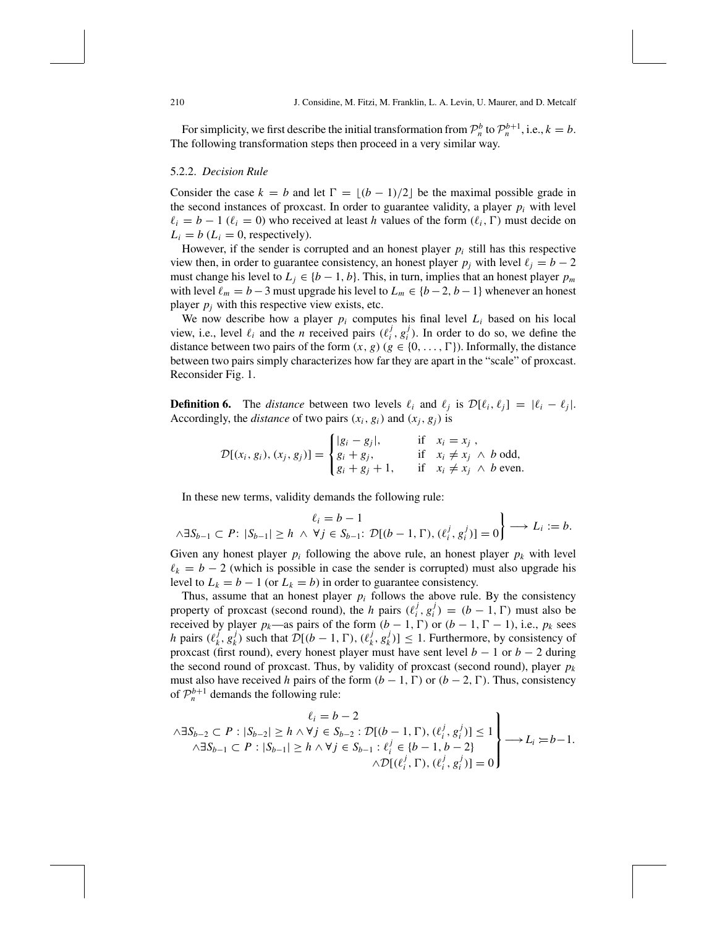For simplicity, we first describe the initial transformation from  $\mathcal{P}_n^b$  to  $\mathcal{P}_n^{b+1}$ , i.e.,  $k = b$ . The following transformation steps then proceed in a very similar way.

#### 5.2.2. *Decision Rule*

Consider the case  $k = b$  and let  $\Gamma = \lfloor (b-1)/2 \rfloor$  be the maximal possible grade in the second instances of proxcast. In order to guarantee validity, a player  $p_i$  with level  $\ell_i = b - 1$  ( $\ell_i = 0$ ) who received at least *h* values of the form ( $\ell_i$ ,  $\Gamma$ ) must decide on  $L_i = b$  ( $L_i = 0$ , respectively).

However, if the sender is corrupted and an honest player  $p_i$  still has this respective view then, in order to guarantee consistency, an honest player  $p_i$  with level  $\ell_i = b - 2$ must change his level to  $L_j \in \{b-1, b\}$ . This, in turn, implies that an honest player  $p_m$ with level  $\ell_m = b - 3$  must upgrade his level to  $L_m \in \{b - 2, b - 1\}$  whenever an honest player  $p_i$  with this respective view exists, etc.

We now describe how a player  $p_i$  computes his final level  $L_i$  based on his local view, i.e., level  $\ell_i$  and the *n* received pairs  $(\ell_i^j, g_i^j)$ . In order to do so, we define the distance between two pairs of the form  $(x, g)$  ( $g \in \{0, \ldots, \Gamma\}$ ). Informally, the distance between two pairs simply characterizes how far they are apart in the "scale" of proxcast. Reconsider Fig. 1.

**Definition 6.** The *distance* between two levels  $\ell_i$  and  $\ell_j$  is  $\mathcal{D}[\ell_i, \ell_j] = |\ell_i - \ell_j|$ . Accordingly, the *distance* of two pairs  $(x_i, g_i)$  and  $(x_i, g_j)$  is

$$
\mathcal{D}[(x_i, g_i), (x_j, g_j)] = \begin{cases} |g_i - g_j|, & \text{if } x_i = x_j, \\ g_i + g_j, & \text{if } x_i \neq x_j \land b \text{ odd,} \\ g_i + g_j + 1, & \text{if } x_i \neq x_j \land b \text{ even.} \end{cases}
$$

In these new terms, validity demands the following rule:

$$
\ell_i = b - 1
$$
  

$$
\wedge \exists S_{b-1} \subset P: |S_{b-1}| \ge h \ \wedge \ \forall j \in S_{b-1}: \ \mathcal{D}[(b-1, \Gamma), (\ell_i^j, g_i^j)] = 0
$$
  $\longrightarrow L_i := b.$ 

Given any honest player  $p_i$  following the above rule, an honest player  $p_k$  with level  $\ell_k = b - 2$  (which is possible in case the sender is corrupted) must also upgrade his level to  $L_k = b - 1$  (or  $L_k = b$ ) in order to guarantee consistency.

Thus, assume that an honest player  $p_i$  follows the above rule. By the consistency property of proxcast (second round), the *h* pairs  $(\ell_i^j, g_i^j) = (b - 1, \Gamma)$  must also be received by player  $p_k$ —as pairs of the form  $(b - 1, \Gamma)$  or  $(b - 1, \Gamma - 1)$ , i.e.,  $p_k$  sees *h* pairs  $(\ell_k^j, g_k^j)$  such that  $\mathcal{D}[(b-1, \Gamma), (\ell_k^j, g_k^j)] \leq 1$ . Furthermore, by consistency of proxcast (first round), every honest player must have sent level *b* − 1 or *b* − 2 during the second round of proxcast. Thus, by validity of proxcast (second round), player  $p_k$ must also have received *h* pairs of the form  $(b - 1, \Gamma)$  or  $(b - 2, \Gamma)$ . Thus, consistency of  $\mathcal{P}_n^{b+1}$  demands the following rule:

$$
\ell_i = b - 2
$$
  

$$
\wedge \exists S_{b-2} \subset P : |S_{b-2}| \ge h \wedge \forall j \in S_{b-2} : \mathcal{D}[(b-1, \Gamma), (\ell_i^j, g_i^j)] \le 1
$$
  

$$
\wedge \exists S_{b-1} \subset P : |S_{b-1}| \ge h \wedge \forall j \in S_{b-1} : \ell_i^j \in \{b-1, b-2\}
$$
  

$$
\wedge \mathcal{D}[(\ell_i^j, \Gamma), (\ell_i^j, g_i^j)] = 0
$$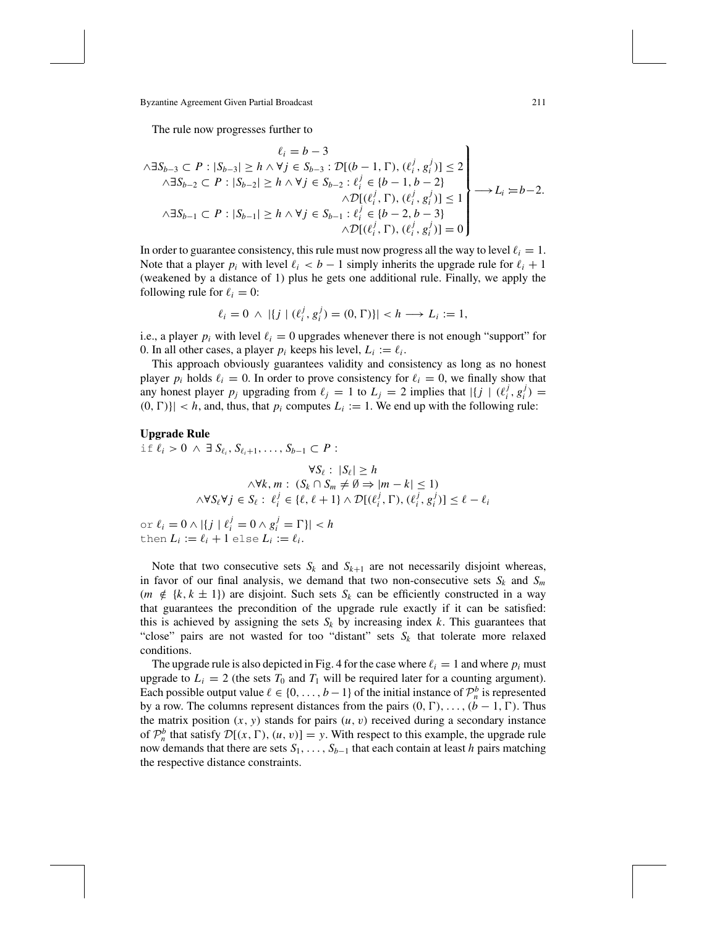The rule now progresses further to

$$
\ell_{i} = b - 3
$$
  
\n
$$
\wedge \exists S_{b-3} \subset P : |S_{b-3}| \ge h \wedge \forall j \in S_{b-3} : \mathcal{D}[(b-1, \Gamma), (\ell_{i}^{j}, g_{i}^{j})] \le 2
$$
  
\n
$$
\wedge \exists S_{b-2} \subset P : |S_{b-2}| \ge h \wedge \forall j \in S_{b-2} : \ell_{i}^{j} \in \{b-1, b-2\}
$$
  
\n
$$
\wedge \mathcal{D}[(\ell_{i}^{j}, \Gamma), (\ell_{i}^{j}, g_{i}^{j})] \le 1
$$
  
\n
$$
\wedge \exists S_{b-1} \subset P : |S_{b-1}| \ge h \wedge \forall j \in S_{b-1} : \ell_{i}^{j} \in \{b-2, b-3\}
$$
  
\n
$$
\wedge \mathcal{D}[(\ell_{i}^{j}, \Gamma), (\ell_{i}^{j}, g_{i}^{j})] = 0
$$

In order to guarantee consistency, this rule must now progress all the way to level  $\ell_i = 1$ . Note that a player  $p_i$  with level  $\ell_i < b - 1$  simply inherits the upgrade rule for  $\ell_i + 1$ (weakened by a distance of 1) plus he gets one additional rule. Finally, we apply the following rule for  $\ell_i = 0$ :

$$
\ell_i = 0 \ \land \ | \{ j \mid (\ell_i^j, g_i^j) = (0, \Gamma) \} | < h \longrightarrow L_i := 1,
$$

i.e., a player  $p_i$  with level  $\ell_i = 0$  upgrades whenever there is not enough "support" for 0. In all other cases, a player  $p_i$  keeps his level,  $L_i := \ell_i$ .

This approach obviously guarantees validity and consistency as long as no honest player  $p_i$  holds  $\ell_i = 0$ . In order to prove consistency for  $\ell_i = 0$ , we finally show that any honest player  $p_j$  upgrading from  $\ell_j = 1$  to  $L_j = 2$  implies that  $|\{j \mid (\ell_i^j, g_i^j) =$  $(0, \Gamma)$ }| < *h*, and, thus, that *p<sub>i</sub>* computes *L<sub>i</sub>* := 1. We end up with the following rule:

#### **Upgrade Rule**

if  $\ell_i > 0$  ∧ ∃  $S_{\ell_i}, S_{\ell_{i+1}}, \ldots, S_{b-1} \subset P$ :

 $\forall S_{\ell}$  :  $|S_{\ell}|$  ≥ *h*  $\land \forall k, m$  :  $(S_k \cap S_m \neq \emptyset \Rightarrow |m - k| \leq 1)$  $\land \forall S_{\ell} \forall j \in S_{\ell} : \ell_i^j \in {\ell, \ell + 1} \land \mathcal{D}[(\ell_i^j, \Gamma), (\ell_i^j, g_i^j)] \leq \ell - \ell_i$ 

or  $\ell_i = 0 \wedge |\{j \mid \ell_i^j = 0 \wedge g_i^j = \Gamma\}| < h$ then  $L_i := \ell_i + 1$  else  $L_i := \ell_i$ .

Note that two consecutive sets  $S_k$  and  $S_{k+1}$  are not necessarily disjoint whereas, in favor of our final analysis, we demand that two non-consecutive sets  $S_k$  and  $S_m$  $(m \notin \{k, k \pm 1\})$  are disjoint. Such sets  $S_k$  can be efficiently constructed in a way that guarantees the precondition of the upgrade rule exactly if it can be satisfied: this is achieved by assigning the sets  $S_k$  by increasing index  $k$ . This guarantees that "close" pairs are not wasted for too "distant" sets  $S_k$  that tolerate more relaxed conditions.

The upgrade rule is also depicted in Fig. 4 for the case where  $\ell_i = 1$  and where  $p_i$  must upgrade to  $L_i = 2$  (the sets  $T_0$  and  $T_1$  will be required later for a counting argument). Each possible output value  $l \in \{0, ..., b-1\}$  of the initial instance of  $\mathcal{P}_n^b$  is represented by a row. The columns represent distances from the pairs  $(0, \Gamma), \ldots, (b-1, \Gamma)$ . Thus the matrix position  $(x, y)$  stands for pairs  $(u, v)$  received during a secondary instance of  $\mathcal{P}_n^b$  that satisfy  $\mathcal{D}[(x, \Gamma), (u, v)] = y$ . With respect to this example, the upgrade rule now demands that there are sets  $S_1, \ldots, S_{b-1}$  that each contain at least *h* pairs matching the respective distance constraints.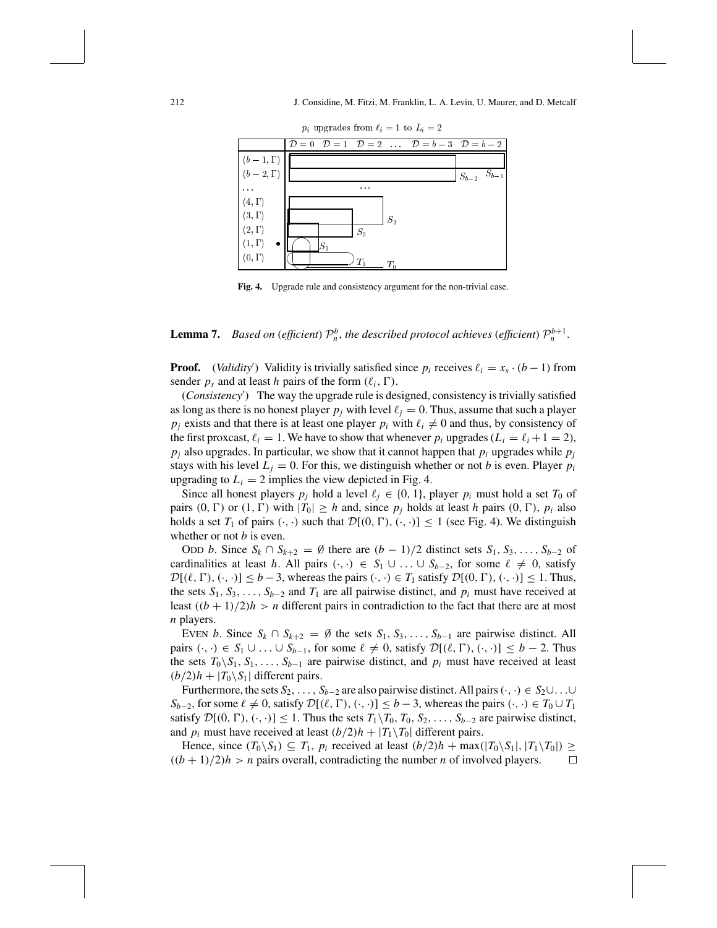#### 212 J. Considine, M. Fitzi, M. Franklin, L. A. Levin, U. Maurer, and D. Metcalf



**Fig. 4.** Upgrade rule and consistency argument for the non-trivial case.

**Lemma 7.** *Based on (efficient)*  $\mathcal{P}_n^b$ , the described protocol achieves (efficient)  $\mathcal{P}_n^{b+1}$ .

**Proof.** (*Validity'*) Validity is trivially satisfied since  $p_i$  receives  $\ell_i = x_s \cdot (b-1)$  from sender  $p_s$  and at least *h* pairs of the form  $(\ell_i, \Gamma)$ .

(*Consistency* ) The way the upgrade rule is designed, consistency is trivially satisfied as long as there is no honest player  $p_j$  with level  $\ell_j = 0$ . Thus, assume that such a player  $p_i$  exists and that there is at least one player  $p_i$  with  $\ell_i \neq 0$  and thus, by consistency of the first proxcast,  $\ell_i = 1$ . We have to show that whenever  $p_i$  upgrades ( $L_i = \ell_i + 1 = 2$ ),  $p_i$  also upgrades. In particular, we show that it cannot happen that  $p_i$  upgrades while  $p_j$ stays with his level  $L_i = 0$ . For this, we distinguish whether or not *b* is even. Player  $p_i$ upgrading to  $L<sub>i</sub> = 2$  implies the view depicted in Fig. 4.

Since all honest players  $p_j$  hold a level  $\ell_j \in \{0, 1\}$ , player  $p_i$  must hold a set  $T_0$  of pairs  $(0, \Gamma)$  or  $(1, \Gamma)$  with  $|T_0| \geq h$  and, since  $p_i$  holds at least *h* pairs  $(0, \Gamma)$ ,  $p_i$  also holds a set  $T_1$  of pairs  $(\cdot, \cdot)$  such that  $\mathcal{D}[(0, \Gamma), (\cdot, \cdot)] \le 1$  (see Fig. 4). We distinguish whether or not *b* is even.

ODD *b*. Since  $S_k \cap S_{k+2} = \emptyset$  there are  $(b-1)/2$  distinct sets  $S_1, S_3, \ldots, S_{b-2}$  of cardinalities at least *h*. All pairs  $(\cdot, \cdot) \in S_1 \cup ... \cup S_{b-2}$ , for some  $\ell \neq 0$ , satisfy  $\mathcal{D}[(\ell, \Gamma), (\cdot, \cdot)] \leq b - 3$ , whereas the pairs  $(\cdot, \cdot) \in T_1$  satisfy  $\mathcal{D}[(0, \Gamma), (\cdot, \cdot)] \leq 1$ . Thus, the sets  $S_1, S_3, \ldots, S_{b-2}$  and  $T_1$  are all pairwise distinct, and  $p_i$  must have received at least  $((b + 1)/2)h > n$  different pairs in contradiction to the fact that there are at most *n* players.

EVEN *b*. Since  $S_k \cap S_{k+2} = \emptyset$  the sets  $S_1, S_3, \ldots, S_{b-1}$  are pairwise distinct. All pairs  $(·, ·) ∈ S_1 ∪ ... ∪ S_{b-1}$ , for some  $\ell \neq 0$ , satisfy  $\mathcal{D}[(\ell, \Gamma), (·, ·)] ≤ b - 2$ . Thus the sets  $T_0 \setminus S_1, S_1, \ldots, S_{b-1}$  are pairwise distinct, and  $p_i$  must have received at least  $(b/2)h + |T_0 \setminus S_1|$  different pairs.

Furthermore, the sets  $S_2, \ldots, S_{b-2}$  are also pairwise distinct. All pairs  $(\cdot, \cdot) \in S_2 \cup \ldots \cup$ *S*<sub>*b*−2</sub>, for some  $\ell \neq 0$ , satisfy  $\mathcal{D}[(\ell, \Gamma), (\cdot, \cdot)] \leq b - 3$ , whereas the pairs  $(\cdot, \cdot) \in T_0 \cup T_1$ satisfy  $\mathcal{D}[(0, \Gamma), (\cdot, \cdot)] \leq 1$ . Thus the sets  $T_1 \setminus T_0, T_0, S_2, \ldots, S_{b-2}$  are pairwise distinct, and  $p_i$  must have received at least  $(b/2)h + |T_1 \setminus T_0|$  different pairs.

Hence, since  $(T_0 \setminus S_1) \subseteq T_1$ ,  $p_i$  received at least  $(b/2)h + \max(|T_0 \setminus S_1|, |T_1 \setminus T_0|) \ge$  $((b+1)/2)h > n$  pairs overall, contradicting the number *n* of involved players.  $\Box$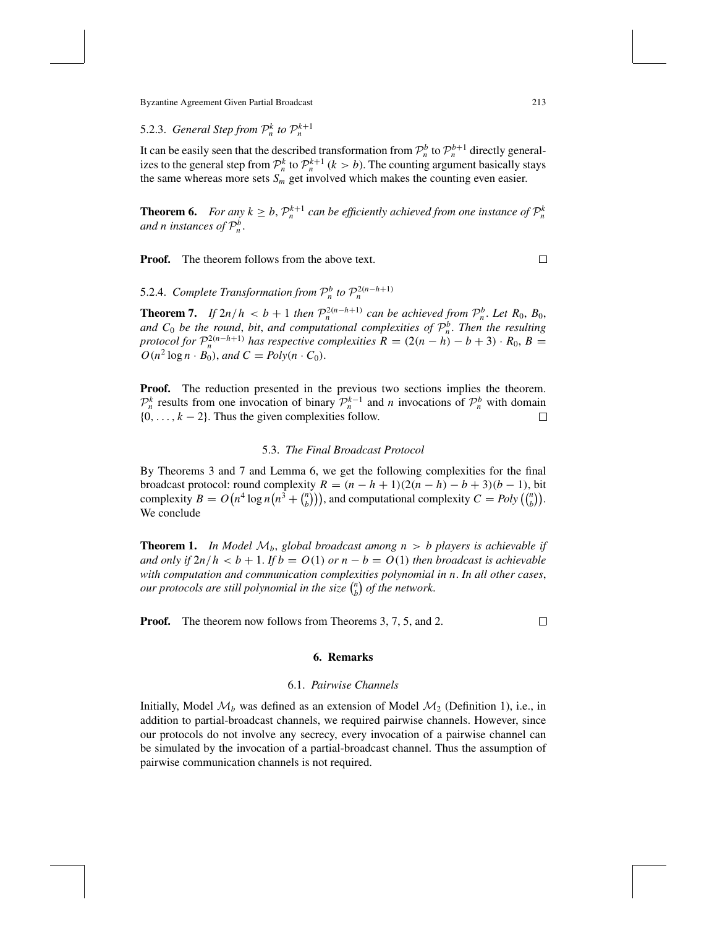# 5.2.3. *General Step from*  $\mathcal{P}_n^k$  *to*  $\mathcal{P}_n^{k+1}$

It can be easily seen that the described transformation from  $\mathcal{P}_n^b$  to  $\mathcal{P}_n^{b+1}$  directly generalizes to the general step from  $\mathcal{P}_n^k$  to  $\mathcal{P}_n^{k+1}$  ( $k > b$ ). The counting argument basically stays the same whereas more sets  $S_m$  get involved which makes the counting even easier.

**Theorem 6.** *For any*  $k \geq b$ ,  $\mathcal{P}_n^{k+1}$  *can be efficiently achieved from one instance of*  $\mathcal{P}_n^k$ and *n* instances of  $\mathcal{P}_n^b$ .

**Proof.** The theorem follows from the above text.

 $\Box$ 

5.2.4. *Complete Transformation from*  $\mathcal{P}_n^b$  *to*  $\mathcal{P}_n^{2(n-h+1)}$ 

**Theorem 7.** *If*  $2n/h < b+1$  *then*  $\mathcal{P}_n^{2(n-h+1)}$  *can be achieved from*  $\mathcal{P}_n^b$ *. Let*  $R_0$ *, B*<sub>0</sub>*, and*  $C_0$  *be the round, bit, and computational complexities of*  $\mathcal{P}_n^b$ *. Then the resulting protocol for*  $\mathcal{P}_n^{2(n-h+1)}$  *has respective complexities*  $R = (2(n-h) - b + 3) \cdot R_0$ ,  $B =$  $O(n^2 \log n \cdot B_0)$ , and  $C = Poly(n \cdot C_0)$ .

**Proof.** The reduction presented in the previous two sections implies the theorem.  $\mathcal{P}_n^k$  results from one invocation of binary  $\mathcal{P}_n^{k-1}$  and *n* invocations of  $\mathcal{P}_n^b$  with domain  ${0, \ldots, k-2}$ . Thus the given complexities follow.

#### 5.3. *The Final Broadcast Protocol*

By Theorems 3 and 7 and Lemma 6, we get the following complexities for the final broadcast protocol: round complexity  $R = (n - h + 1)(2(n - h) - b + 3)(b - 1)$ , bit complexity  $B = O(n^4 \log n(n^3 + {n \choose b}))$ , and computational complexity  $C = Poly({n \choose b})$ . We conclude

**Theorem 1.** In Model  $M_b$ , global broadcast among  $n > b$  players is achievable if *and only if*  $2n/h < b + 1$ . *If*  $b = O(1)$  *or*  $n - b = O(1)$  *then broadcast is achievable with computation and communication complexities polynomial in n*. *In all other cases*, *our protocols are still polynomial in the size*  $\binom{n}{b}$  *of the network.* 

**Proof.** The theorem now follows from Theorems 3, 7, 5, and 2.

 $\Box$ 

#### **6. Remarks**

#### 6.1. *Pairwise Channels*

Initially, Model  $\mathcal{M}_b$  was defined as an extension of Model  $\mathcal{M}_2$  (Definition 1), i.e., in addition to partial-broadcast channels, we required pairwise channels. However, since our protocols do not involve any secrecy, every invocation of a pairwise channel can be simulated by the invocation of a partial-broadcast channel. Thus the assumption of pairwise communication channels is not required.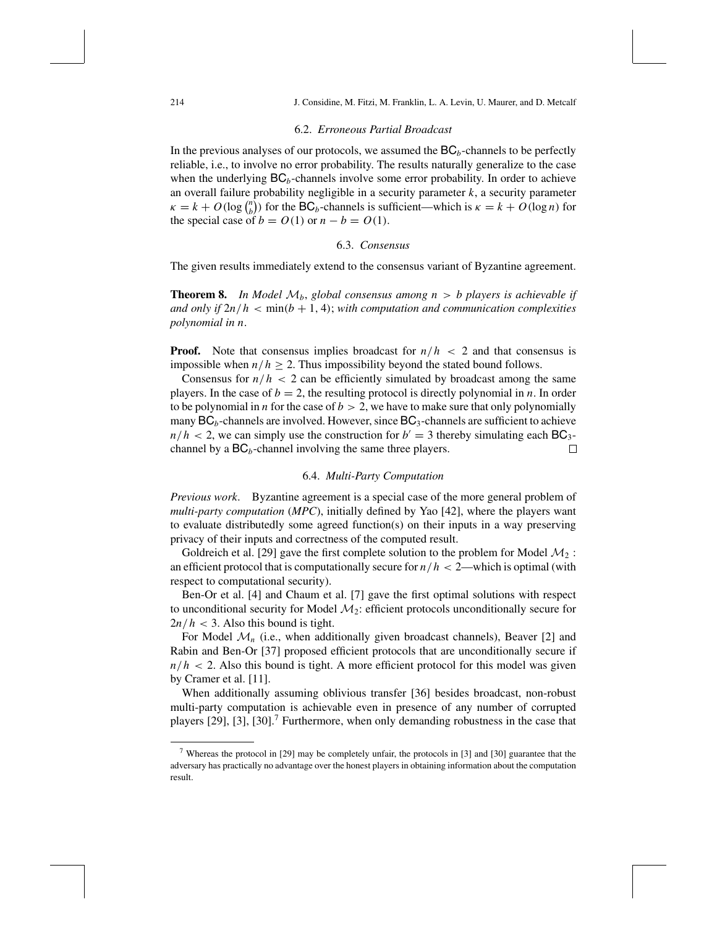#### 214 J. Considine, M. Fitzi, M. Franklin, L. A. Levin, U. Maurer, and D. Metcalf

#### 6.2. *Erroneous Partial Broadcast*

In the previous analyses of our protocols, we assumed the BC*b*-channels to be perfectly reliable, i.e., to involve no error probability. The results naturally generalize to the case when the underlying  $BC_b$ -channels involve some error probability. In order to achieve an overall failure probability negligible in a security parameter *k*, a security parameter  $\kappa = k + O(\log {n \choose b})$  for the BC<sub>*b*</sub>-channels is sufficient—which is  $\kappa = k + O(\log n)$  for the special case of  $b = O(1)$  or  $n - b = O(1)$ .

#### 6.3. *Consensus*

The given results immediately extend to the consensus variant of Byzantine agreement.

**Theorem 8.** In Model  $M_b$ , global consensus among  $n > b$  players is achievable if *and only if*  $2n/h < min(b + 1, 4)$ ; *with computation and communication complexities polynomial in n*.

**Proof.** Note that consensus implies broadcast for  $n/h < 2$  and that consensus is impossible when  $n/h \geq 2$ . Thus impossibility beyond the stated bound follows.

Consensus for  $n/h < 2$  can be efficiently simulated by broadcast among the same players. In the case of  $b = 2$ , the resulting protocol is directly polynomial in *n*. In order to be polynomial in *n* for the case of  $b > 2$ , we have to make sure that only polynomially many  $BC_b$ -channels are involved. However, since  $BC_3$ -channels are sufficient to achieve  $n/h < 2$ , we can simply use the construction for  $b' = 3$  thereby simulating each BC<sub>3</sub>channel by a  $BC_b$ -channel involving the same three players.  $\Box$ 

#### 6.4. *Multi-Party Computation*

*Previous work*. Byzantine agreement is a special case of the more general problem of *multi-party computation* (*MPC*), initially defined by Yao [42], where the players want to evaluate distributedly some agreed function(s) on their inputs in a way preserving privacy of their inputs and correctness of the computed result.

Goldreich et al. [29] gave the first complete solution to the problem for Model  $\mathcal{M}_2$ : an efficient protocol that is computationally secure for  $n/h < 2$ —which is optimal (with respect to computational security).

Ben-Or et al. [4] and Chaum et al. [7] gave the first optimal solutions with respect to unconditional security for Model  $M<sub>2</sub>$ : efficient protocols unconditionally secure for  $2n/h < 3$ . Also this bound is tight.

For Model  $\mathcal{M}_n$  (i.e., when additionally given broadcast channels), Beaver [2] and Rabin and Ben-Or [37] proposed efficient protocols that are unconditionally secure if  $n/h < 2$ . Also this bound is tight. A more efficient protocol for this model was given by Cramer et al. [11].

When additionally assuming oblivious transfer [36] besides broadcast, non-robust multi-party computation is achievable even in presence of any number of corrupted players  $[29]$ ,  $[3]$ ,  $[30]$ .<sup>7</sup> Furthermore, when only demanding robustness in the case that

<sup>7</sup> Whereas the protocol in [29] may be completely unfair, the protocols in [3] and [30] guarantee that the adversary has practically no advantage over the honest players in obtaining information about the computation result.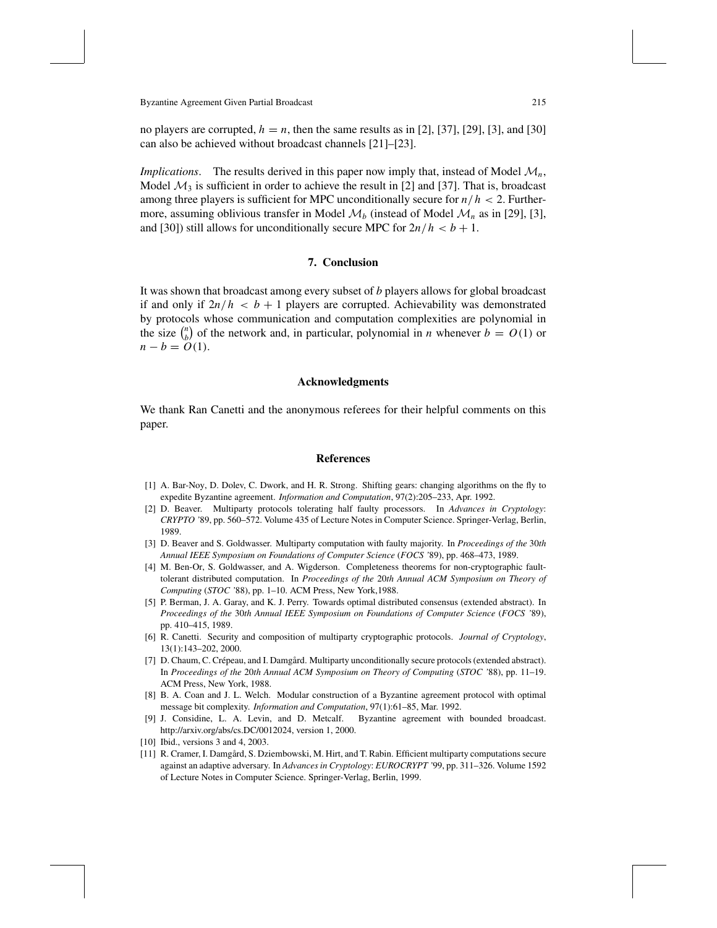no players are corrupted,  $h = n$ , then the same results as in [2], [37], [29], [3], and [30] can also be achieved without broadcast channels [21]–[23].

*Implications*. The results derived in this paper now imply that, instead of Model  $\mathcal{M}_n$ , Model  $M_3$  is sufficient in order to achieve the result in [2] and [37]. That is, broadcast among three players is sufficient for MPC unconditionally secure for  $n/h < 2$ . Furthermore, assuming oblivious transfer in Model  $M_b$  (instead of Model  $M_n$  as in [29], [3], and [30]) still allows for unconditionally secure MPC for  $2n/h < b + 1$ .

#### **7. Conclusion**

It was shown that broadcast among every subset of *b* players allows for global broadcast if and only if  $2n/h < b + 1$  players are corrupted. Achievability was demonstrated by protocols whose communication and computation complexities are polynomial in the size  $\binom{n}{b}$  of the network and, in particular, polynomial in *n* whenever  $b = O(1)$  or  $n - b = O(1)$ .

#### **Acknowledgments**

We thank Ran Canetti and the anonymous referees for their helpful comments on this paper.

#### **References**

- [1] A. Bar-Noy, D. Dolev, C. Dwork, and H. R. Strong. Shifting gears: changing algorithms on the fly to expedite Byzantine agreement. *Information and Computation*, 97(2):205–233, Apr. 1992.
- [2] D. Beaver. Multiparty protocols tolerating half faulty processors. In *Advances in Cryptology*: *CRYPTO '*89, pp. 560–572. Volume 435 of Lecture Notes in Computer Science. Springer-Verlag, Berlin, 1989.
- [3] D. Beaver and S. Goldwasser. Multiparty computation with faulty majority. In *Proceedings of the* 30*th Annual IEEE Symposium on Foundations of Computer Science* (*FOCS '*89), pp. 468–473, 1989.
- [4] M. Ben-Or, S. Goldwasser, and A. Wigderson. Completeness theorems for non-cryptographic faulttolerant distributed computation. In *Proceedings of the* 20*th Annual ACM Symposium on Theory of Computing* (*STOC '*88), pp. 1–10. ACM Press, New York,1988.
- [5] P. Berman, J. A. Garay, and K. J. Perry. Towards optimal distributed consensus (extended abstract). In *Proceedings of the* 30*th Annual IEEE Symposium on Foundations of Computer Science* (*FOCS '*89), pp. 410–415, 1989.
- [6] R. Canetti. Security and composition of multiparty cryptographic protocols. *Journal of Cryptology*, 13(1):143–202, 2000.
- [7] D. Chaum, C. Crépeau, and I. Damgård. Multiparty unconditionally secure protocols (extended abstract). In *Proceedings of the* 20*th Annual ACM Symposium on Theory of Computing* (*STOC '*88), pp. 11–19. ACM Press, New York, 1988.
- [8] B. A. Coan and J. L. Welch. Modular construction of a Byzantine agreement protocol with optimal message bit complexity. *Information and Computation*, 97(1):61–85, Mar. 1992.
- [9] J. Considine, L. A. Levin, and D. Metcalf. Byzantine agreement with bounded broadcast. http://arxiv.org/abs/cs.DC/0012024, version 1, 2000.
- [10] Ibid., versions 3 and 4, 2003.
- [11] R. Cramer, I. Damgård, S. Dziembowski, M. Hirt, and T. Rabin. Efficient multiparty computations secure against an adaptive adversary. In *Advances in Cryptology*: *EUROCRYPT '*99, pp. 311–326. Volume 1592 of Lecture Notes in Computer Science. Springer-Verlag, Berlin, 1999.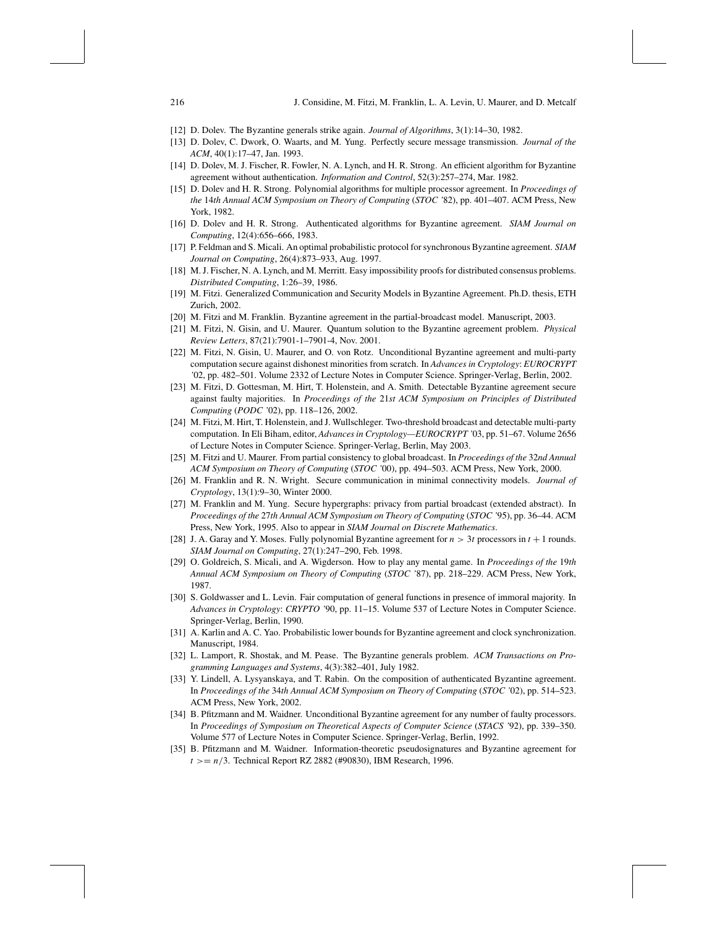#### 216 J. Considine, M. Fitzi, M. Franklin, L. A. Levin, U. Maurer, and D. Metcalf

- [12] D. Dolev. The Byzantine generals strike again. *Journal of Algorithms*, 3(1):14–30, 1982.
- [13] D. Dolev, C. Dwork, O. Waarts, and M. Yung. Perfectly secure message transmission. *Journal of the ACM*, 40(1):17–47, Jan. 1993.
- [14] D. Dolev, M. J. Fischer, R. Fowler, N. A. Lynch, and H. R. Strong. An efficient algorithm for Byzantine agreement without authentication. *Information and Control*, 52(3):257–274, Mar. 1982.
- [15] D. Dolev and H. R. Strong. Polynomial algorithms for multiple processor agreement. In *Proceedings of the* 14*th Annual ACM Symposium on Theory of Computing* (*STOC '*82), pp. 401–407. ACM Press, New York, 1982.
- [16] D. Dolev and H. R. Strong. Authenticated algorithms for Byzantine agreement. *SIAM Journal on Computing*, 12(4):656–666, 1983.
- [17] P. Feldman and S. Micali. An optimal probabilistic protocol for synchronous Byzantine agreement. *SIAM Journal on Computing*, 26(4):873–933, Aug. 1997.
- [18] M. J. Fischer, N. A. Lynch, and M. Merritt. Easy impossibility proofs for distributed consensus problems. *Distributed Computing*, 1:26–39, 1986.
- [19] M. Fitzi. Generalized Communication and Security Models in Byzantine Agreement. Ph.D. thesis, ETH Zurich, 2002.
- [20] M. Fitzi and M. Franklin. Byzantine agreement in the partial-broadcast model. Manuscript, 2003.
- [21] M. Fitzi, N. Gisin, and U. Maurer. Quantum solution to the Byzantine agreement problem. *Physical Review Letters*, 87(21):7901-1–7901-4, Nov. 2001.
- [22] M. Fitzi, N. Gisin, U. Maurer, and O. von Rotz. Unconditional Byzantine agreement and multi-party computation secure against dishonest minorities from scratch. In *Advances in Cryptology*: *EUROCRYPT '*02, pp. 482–501. Volume 2332 of Lecture Notes in Computer Science. Springer-Verlag, Berlin, 2002.
- [23] M. Fitzi, D. Gottesman, M. Hirt, T. Holenstein, and A. Smith. Detectable Byzantine agreement secure against faulty majorities. In *Proceedings of the* 21*st ACM Symposium on Principles of Distributed Computing* (*PODC '*02), pp. 118–126, 2002.
- [24] M. Fitzi, M. Hirt, T. Holenstein, and J. Wullschleger. Two-threshold broadcast and detectable multi-party computation. In Eli Biham, editor, *Advances in Cryptology—EUROCRYPT '*03, pp. 51–67. Volume 2656 of Lecture Notes in Computer Science. Springer-Verlag, Berlin, May 2003.
- [25] M. Fitzi and U. Maurer. From partial consistency to global broadcast. In *Proceedings of the* 32*nd Annual ACM Symposium on Theory of Computing* (*STOC '*00), pp. 494–503. ACM Press, New York, 2000.
- [26] M. Franklin and R. N. Wright. Secure communication in minimal connectivity models. *Journal of Cryptology*, 13(1):9–30, Winter 2000.
- [27] M. Franklin and M. Yung. Secure hypergraphs: privacy from partial broadcast (extended abstract). In *Proceedings of the* 27*th Annual ACM Symposium on Theory of Computing* (*STOC '*95), pp. 36–44. ACM Press, New York, 1995. Also to appear in *SIAM Journal on Discrete Mathematics*.
- [28] J. A. Garay and Y. Moses. Fully polynomial Byzantine agreement for *n* > 3*t* processors in *t* + 1 rounds. *SIAM Journal on Computing*, 27(1):247–290, Feb. 1998.
- [29] O. Goldreich, S. Micali, and A. Wigderson. How to play any mental game. In *Proceedings of the* 19*th Annual ACM Symposium on Theory of Computing* (*STOC '*87), pp. 218–229. ACM Press, New York, 1987.
- [30] S. Goldwasser and L. Levin. Fair computation of general functions in presence of immoral majority. In *Advances in Cryptology*: *CRYPTO '*90, pp. 11–15. Volume 537 of Lecture Notes in Computer Science. Springer-Verlag, Berlin, 1990.
- [31] A. Karlin and A. C. Yao. Probabilistic lower bounds for Byzantine agreement and clock synchronization. Manuscript, 1984.
- [32] L. Lamport, R. Shostak, and M. Pease. The Byzantine generals problem. *ACM Transactions on Programming Languages and Systems*, 4(3):382–401, July 1982.
- [33] Y. Lindell, A. Lysyanskaya, and T. Rabin. On the composition of authenticated Byzantine agreement. In *Proceedings of the* 34*th Annual ACM Symposium on Theory of Computing* (*STOC '*02), pp. 514–523. ACM Press, New York, 2002.
- [34] B. Pfitzmann and M. Waidner. Unconditional Byzantine agreement for any number of faulty processors. In *Proceedings of Symposium on Theoretical Aspects of Computer Science* (*STACS '*92), pp. 339–350. Volume 577 of Lecture Notes in Computer Science. Springer-Verlag, Berlin, 1992.
- [35] B. Pfitzmann and M. Waidner. Information-theoretic pseudosignatures and Byzantine agreement for *t* >= *n*/3. Technical Report RZ 2882 (#90830), IBM Research, 1996.